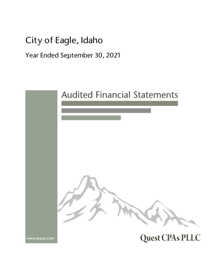# City of Eagle, Idaho

## Year Ended September 30, 2021

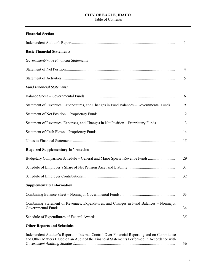#### **CITY OF EAGLE, IDAHO**  Table of Contents

| <b>Financial Section</b>                                                                                                                                                                    |    |
|---------------------------------------------------------------------------------------------------------------------------------------------------------------------------------------------|----|
|                                                                                                                                                                                             | 1  |
| <b>Basic Financial Statements</b>                                                                                                                                                           |    |
| Government-Wide Financial Statements                                                                                                                                                        |    |
|                                                                                                                                                                                             | 4  |
|                                                                                                                                                                                             | 5  |
| <b>Fund Financial Statements</b>                                                                                                                                                            |    |
|                                                                                                                                                                                             | 6  |
| Statement of Revenues, Expenditures, and Changes in Fund Balances – Governmental Funds                                                                                                      | 9  |
|                                                                                                                                                                                             | 12 |
| Statement of Revenues, Expenses, and Changes in Net Position – Proprietary Funds                                                                                                            | 13 |
|                                                                                                                                                                                             | 14 |
|                                                                                                                                                                                             | 15 |
| <b>Required Supplementary Information</b>                                                                                                                                                   |    |
| Budgetary Comparison Schedule - General and Major Special Revenue Funds                                                                                                                     | 29 |
|                                                                                                                                                                                             | 31 |
|                                                                                                                                                                                             | 32 |
| <b>Supplementary Information</b>                                                                                                                                                            |    |
|                                                                                                                                                                                             | 33 |
| Combining Statement of Revenues, Expenditures, and Changes in Fund Balances - Nonmajor                                                                                                      | 34 |
|                                                                                                                                                                                             | 35 |
| <b>Other Reports and Schedules</b>                                                                                                                                                          |    |
| Independent Auditor's Report on Internal Control Over Financial Reporting and on Compliance<br>and Other Matters Based on an Audit of the Financial Statements Performed in Accordance with | 36 |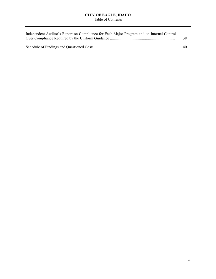#### **CITY OF EAGLE, IDAHO**  Table of Contents

| Independent Auditor's Report on Compliance for Each Major Program and on Internal Control |    |
|-------------------------------------------------------------------------------------------|----|
|                                                                                           | 38 |
|                                                                                           |    |
|                                                                                           | 40 |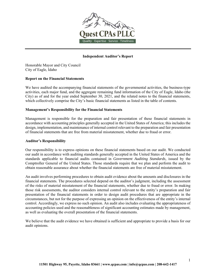

#### **Independent Auditor's Report**

Honorable Mayor and City Council City of Eagle, Idaho

#### **Report on the Financial Statements**

We have audited the accompanying financial statements of the governmental activities, the business-type activities, each major fund, and the aggregate remaining fund information of the City of Eagle, Idaho (the City) as of and for the year ended September 30, 2021, and the related notes to the financial statements, which collectively comprise the City's basic financial statements as listed in the table of contents.

#### **Management's Responsibility for the Financial Statements**

Management is responsible for the preparation and fair presentation of these financial statements in accordance with accounting principles generally accepted in the United States of America; this includes the design, implementation, and maintenance of internal control relevant to the preparation and fair presentation of financial statements that are free from material misstatement, whether due to fraud or error.

#### **Auditor's Responsibility**

Our responsibility is to express opinions on these financial statements based on our audit. We conducted our audit in accordance with auditing standards generally accepted in the United States of America and the standards applicable to financial audits contained in *Government Auditing Standards,* issued by the Comptroller General of the United States. Those standards require that we plan and perform the audit to obtain reasonable assurance about whether the financial statements are free of material misstatement.

An audit involves performing procedures to obtain audit evidence about the amounts and disclosures in the financial statements. The procedures selected depend on the auditor's judgment, including the assessment of the risks of material misstatement of the financial statements, whether due to fraud or error. In making those risk assessments, the auditor considers internal control relevant to the entity's preparation and fair presentation of the financial statements in order to design audit procedures that are appropriate in the circumstances, but not for the purpose of expressing an opinion on the effectiveness of the entity's internal control. Accordingly, we express no such opinion. An audit also includes evaluating the appropriateness of accounting policies used and the reasonableness of significant accounting estimates made by management, as well as evaluating the overall presentation of the financial statements.

We believe that the audit evidence we have obtained is sufficient and appropriate to provide a basis for our audit opinions.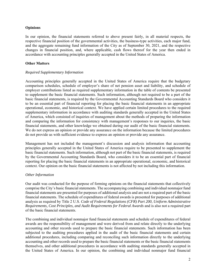#### **Opinions**

In our opinion, the financial statements referred to above present fairly, in all material respects, the respective financial position of the governmental activities, the business-type activities, each major fund, and the aggregate remaining fund information of the City as of September 30, 2021, and the respective changes in financial position, and, where applicable, cash flows thereof for the year then ended in accordance with accounting principles generally accepted in the United States of America.

#### **Other Matters**

#### *Required Supplementary Information*

Accounting principles generally accepted in the United States of America require that the budgetary comparison schedules, schedule of employer's share of net pension asset and liability, and schedule of employer contributions listed as required supplementary information in the table of contents be presented to supplement the basic financial statements. Such information, although not required to be a part of the basic financial statements, is required by the Governmental Accounting Standards Board who considers it to be an essential part of financial reporting for placing the basic financial statements in an appropriate operational, economic, and historical context. We have applied certain limited procedures to the required supplementary information in accordance with auditing standards generally accepted in the United States of America, which consisted of inquiries of management about the methods of preparing the information and comparing the information for consistency with management's responses to our inquiries, the basic financial statements, and other knowledge we obtained during our audit of the basic financial statements. We do not express an opinion or provide any assurance on the information because the limited procedures do not provide us with sufficient evidence to express an opinion or provide any assurance.

Management has not included the management's discussion and analysis information that accounting principles generally accepted in the United States of America require to be presented to supplement the basic financial statements. Such information, although not part of the basic financial statements, is required by the Governmental Accounting Standards Board, who considers it to be an essential part of financial reporting for placing the basic financial statements in an appropriate operational, economic, and historical context. Our opinion on the basic financial statements is not affected by not including this information.

#### *Other Information*

Our audit was conducted for the purpose of forming opinions on the financial statements that collectively comprise the City's basic financial statements. The accompanying combining and individual nonmajor fund financial statements are presented for purposes of additional analysis and are not a required part of the basic financial statements. The schedule of expenditures of federal awards is presented for purposes of additional analysis as required by Title 2 U.S. *Code of Federal Regulations (CFR) Part 200, Uniform Administrative Requirements, Cost Principles, and Audit Requirements for Federal Awards* and is also not a required part of the basic financial statements.

The combining and individual nonmajor fund financial statements and schedule of expenditures of federal awards are the responsibility of management and were derived from and relate directly to the underlying accounting and other records used to prepare the basic financial statements. Such information has been subjected to the auditing procedures applied in the audit of the basic financial statements and certain additional procedures, including comparing and reconciling such information directly to the underlying accounting and other records used to prepare the basic financial statements or the basic financial statements themselves, and other additional procedures in accordance with auditing standards generally accepted in the United States of America. In our opinion, the combining and individual nonmajor fund financial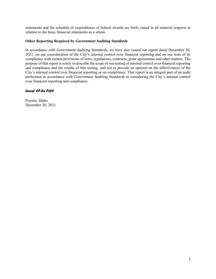statements and the schedule of expenditures of federal awards are fairly stated in all material respects in relation to the basic financial statements as a whole.

#### **Other Reporting Required by** *Government Auditing Standards*

In accordance with *Government Auditing Standards,* we have also issued our report dated December 30, 2021, on our consideration of the City's internal control over financial reporting and on our tests of its compliance with certain provisions of laws, regulations, contracts, grant agreements and other matters. The purpose of that report is solely to describe the scope of our testing of internal control over financial reporting and compliance and the results of that testing, and not to provide an opinion on the effectiveness of the City's internal control over financial reporting or on compliance. That report is an integral part of an audit performed in accordance with *Government Auditing Standards* in considering the City's internal control over financial reporting and compliance.

#### *Quest CPAs PLLC*

Payette, Idaho December 30, 2021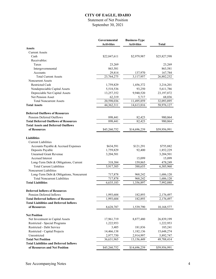## Statement of Net Position

September 30, 2021

|                                               | Governmental<br><b>Activities</b> | <b>Business-Type</b><br><b>Activities</b> | <b>Total</b> |
|-----------------------------------------------|-----------------------------------|-------------------------------------------|--------------|
| <b>Assets</b>                                 |                                   |                                           |              |
| <b>Current Assets</b>                         |                                   |                                           |              |
| Cash                                          | \$22,847,611                      | \$2,979,987                               | \$25,827,598 |
| Receivables:                                  |                                   |                                           |              |
| Taxes                                         | 23,269                            |                                           | 23,269       |
| Intergovernmental                             | 863,581                           |                                           | 863,581      |
| Accounts                                      | 29,814                            | 137,970                                   | 167,784      |
| <b>Total Current Assets</b>                   | 23,764,275                        | 3,117,957                                 | 26,882,232   |
| <b>Noncurrent Assets</b>                      |                                   |                                           |              |
| <b>Restricted Cash</b>                        | 1,759,829                         | 1,456,372                                 | 3,216,201    |
| Nondepreciable Capital Assets                 | 5,518,536                         | 93,250                                    | 5,611,786    |
| Depreciable Net Capital Assets                | 13,257,352                        | 9,940,520                                 | 23, 197, 872 |
| Net Pension Asset                             | 62,319                            | 5,717                                     | 68,036       |
| <b>Total Noncurrent Assets</b>                | 20,598,036                        | 11,495,859                                | 32,093,895   |
| <b>Total Assets</b>                           | 44, 362, 311                      | 14,613,816                                | 58,976,127   |
| <b>Deferred Outflows of Resources</b>         |                                   |                                           |              |
| Pension Deferred Outflows                     | 898,441                           | 82,423                                    | 980,864      |
| <b>Total Deferred Outflows of Resources</b>   | 898,441                           | 82,423                                    | 980,864      |
| <b>Total Assets and Deferred Outflows</b>     |                                   |                                           |              |
| of Resources                                  | \$45,260,752                      | \$14,696,239                              | \$59,956,991 |
| <b>Liabilities</b>                            |                                   |                                           |              |
| <b>Current Liabilities</b>                    |                                   |                                           |              |
| Accounts Payable & Accrued Expenses           | \$634,591                         | \$121,291                                 | \$755,882    |
| Deposits Payable                              | 1,759,829                         | 92,400                                    | 1,852,229    |
| <b>Unearned Grant Revenue</b>                 | 3,204,501                         |                                           | 3,204,501    |
| Accrued Interest                              |                                   | 15,099                                    | 15,099       |
| Long-Term Debt & Obligations, Current         | 318,384                           | 159,865                                   | 478,249      |
| <b>Total Current Liabilities</b>              | 5,917,305                         | 388,655                                   | 6,305,960    |
| Noncurrent Liabilities                        |                                   |                                           |              |
| Long-Term Debt & Obligations, Noncurrent      | 717,878                           | 968,242                                   | 1,686,120    |
| <b>Total Noncurrent Liabilities</b>           | 717,878                           | 968,242                                   | 1,686,120    |
| <b>Total Liabilities</b>                      | 6,635,183                         | 1,356,897                                 | 7,992,080    |
|                                               |                                   |                                           |              |
| <b>Deferred Inflows of Resources</b>          |                                   |                                           |              |
| Pension Deferred Inflows                      | 1,993,604                         | 182,893                                   | 2,176,497    |
| <b>Total Deferred Inflows of Resources</b>    | 1,993,604                         | 182,893                                   | 2,176,497    |
| <b>Total Liabilities and Deferred Inflows</b> |                                   |                                           |              |
| of Resources                                  | 8,628,787                         | 1,539,790                                 | 10,168,577   |
| <b>Net Position</b>                           |                                   |                                           |              |
| Net Investment in Capital Assets              | 17,961,719                        | 8,877,480                                 | 26,839,199   |
| Restricted - Special Programs                 | 1,222,953                         |                                           | 1,222,953    |
| Restricted - Debt Service                     | 3,405                             | 181,836                                   | 185,241      |
| Restricted - Capital Projects                 | 14,466,138                        | 1,182,136                                 | 15,648,274   |
| Unrestricted                                  | 2,977,750                         | 2,914,997                                 | 5,892,747    |
| <b>Total Net Position</b>                     | 36,631,965                        | 13,156,449                                | 49,788,414   |
| <b>Total Liabilities and Deferred Inflows</b> |                                   |                                           |              |
| of Resources and Net Position                 | \$45,260,752                      | \$14,696,239                              | \$59,956,991 |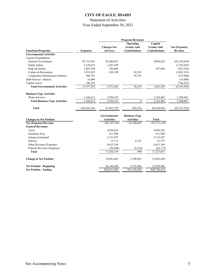## Statement of Activities Year Ended September 30, 2021

|              |                                                                       | <b>Program Revenues</b>                                                                                                                            |                                                                  |                                                                                                                                            |
|--------------|-----------------------------------------------------------------------|----------------------------------------------------------------------------------------------------------------------------------------------------|------------------------------------------------------------------|--------------------------------------------------------------------------------------------------------------------------------------------|
|              |                                                                       | Operating                                                                                                                                          | Capital                                                          |                                                                                                                                            |
|              | <b>Charges For</b>                                                    | <b>Grants And</b>                                                                                                                                  | <b>Grants And</b>                                                | Net (Expense)                                                                                                                              |
|              |                                                                       |                                                                                                                                                    |                                                                  | Revenue                                                                                                                                    |
|              |                                                                       |                                                                                                                                                    |                                                                  |                                                                                                                                            |
|              |                                                                       |                                                                                                                                                    |                                                                  |                                                                                                                                            |
|              |                                                                       |                                                                                                                                                    |                                                                  | $(\$2,339,659)$                                                                                                                            |
|              |                                                                       |                                                                                                                                                    |                                                                  | (1,783,033)                                                                                                                                |
|              |                                                                       |                                                                                                                                                    | 567,684                                                          | (455, 224)                                                                                                                                 |
| 1,933,429    | 839,190                                                               | \$2,563                                                                                                                                            |                                                                  | (1,091,676)                                                                                                                                |
| 388,791      |                                                                       | 55,791                                                                                                                                             |                                                                  | (333,000)                                                                                                                                  |
| 16,409       |                                                                       |                                                                                                                                                    |                                                                  | (16, 409)                                                                                                                                  |
| 746,293      |                                                                       |                                                                                                                                                    |                                                                  | (746, 293)                                                                                                                                 |
| 13,757,553   | 5,471,566                                                             | 58,354                                                                                                                                             | 1,462,339                                                        | (6,765,294)                                                                                                                                |
|              |                                                                       |                                                                                                                                                    |                                                                  |                                                                                                                                            |
|              | 2,394,193                                                             |                                                                                                                                                    |                                                                  | 3,390,065                                                                                                                                  |
| 1,166,613    | 2,394,193                                                             | $\overline{0}$                                                                                                                                     | 2,162,485                                                        | 3,390,065                                                                                                                                  |
| \$14,924,166 | \$7,865,759                                                           | \$58,354                                                                                                                                           | \$3,624,824                                                      | $(\$3,375,229)$                                                                                                                            |
|              | Governmental                                                          |                                                                                                                                                    |                                                                  |                                                                                                                                            |
|              | <b>Activities</b>                                                     | <b>Activities</b>                                                                                                                                  | <b>Total</b>                                                     |                                                                                                                                            |
|              |                                                                       | \$3,390,065                                                                                                                                        |                                                                  |                                                                                                                                            |
|              |                                                                       |                                                                                                                                                    |                                                                  |                                                                                                                                            |
|              |                                                                       |                                                                                                                                                    |                                                                  |                                                                                                                                            |
|              |                                                                       |                                                                                                                                                    |                                                                  |                                                                                                                                            |
|              |                                                                       |                                                                                                                                                    |                                                                  |                                                                                                                                            |
|              |                                                                       |                                                                                                                                                    |                                                                  |                                                                                                                                            |
|              |                                                                       |                                                                                                                                                    |                                                                  |                                                                                                                                            |
|              |                                                                       |                                                                                                                                                    |                                                                  |                                                                                                                                            |
|              | 17,256,759                                                            | 898                                                                                                                                                | 17,257,657                                                       |                                                                                                                                            |
|              | 10,491,465                                                            | 3,390,963                                                                                                                                          | 13,882,428                                                       |                                                                                                                                            |
|              | 26,140,500                                                            | 9,765,486                                                                                                                                          | 35,905,986                                                       |                                                                                                                                            |
|              | \$36,631,965                                                          | \$13,156,449                                                                                                                                       | \$49,788,414                                                     |                                                                                                                                            |
|              | <b>Expenses</b><br>\$5,714,765<br>3,150,472<br>1,807,394<br>1,166,613 | <b>Services</b><br>\$2,480,451<br>1,367,439<br>784,486<br>$(\$6,765,294)$<br>4,056,262<br>911,940<br>3,715,207<br>15,115<br>8,615,184<br>(56, 949) | <b>Contributions</b><br><b>Business-Type</b><br>6,122<br>(5,224) | <b>Contributions</b><br>\$894,655<br>2,162,485<br>$(\$3,375,229)$<br>4,056,262<br>911,940<br>3,715,207<br>21,237<br>8,615,184<br>(62, 173) |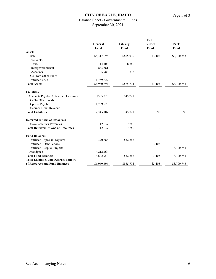## Balance Sheet - Governmental Funds September 30, 2021

|                                               | General<br>Fund | Library<br>Fund | Debt<br><b>Service</b><br>Fund | Park<br>Fund |
|-----------------------------------------------|-----------------|-----------------|--------------------------------|--------------|
| <b>Assets</b>                                 |                 |                 |                                |              |
| Cash                                          | \$4,317,095     | \$875,036       | \$3,405                        | \$3,700,743  |
| Receivables:                                  |                 |                 |                                |              |
| Taxes                                         | 14,403          | 8,866           |                                |              |
| Intergovernmental                             | 863,581         |                 |                                |              |
| Accounts                                      | 5,786           | 1,872           |                                |              |
| Due From Other Funds                          |                 |                 |                                |              |
| <b>Restricted Cash</b>                        | 1,759,829       |                 |                                |              |
| <b>Total Assets</b>                           | \$6,960,694     | \$885,774       | \$3,405                        | \$3,700,743  |
| <b>Liabilities</b>                            |                 |                 |                                |              |
| Accounts Payable & Accrued Expenses           | \$585,278       | \$45,721        |                                |              |
| Due To Other Funds                            |                 |                 |                                |              |
| Deposits Payable                              | 1,759,829       |                 |                                |              |
| <b>Unearned Grant Revenue</b>                 |                 |                 |                                |              |
| <b>Total Liabilities</b>                      | 2,345,107       | 45,721          | \$0                            | \$0          |
| <b>Deferred Inflows of Resources</b>          |                 |                 |                                |              |
| Unavailable Tax Revenues                      | 12,637          | 7,786           |                                |              |
| <b>Total Deferred Inflows of Resources</b>    | 12,637          | 7,786           | $\Omega$                       | $\theta$     |
| <b>Fund Balances</b>                          |                 |                 |                                |              |
| Restricted - Special Programs                 | 390,686         | 832,267         |                                |              |
| Restricted - Debt Service                     |                 |                 | 3,405                          |              |
| Restricted - Capital Projects                 |                 |                 |                                | 3,700,743    |
| Unassigned                                    | 4,212,264       |                 |                                |              |
| <b>Total Fund Balances</b>                    | 4,602,950       | 832,267         | 3,405                          | 3,700,743    |
| <b>Total Liabilities and Deferred Inflows</b> |                 |                 |                                |              |
| of Resources and Fund Balances                | \$6,960,694     | \$885,774       | \$3,405                        | \$3,700,743  |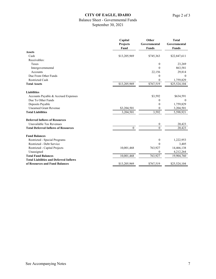## Balance Sheet - Governmental Funds

September 30, 2021

|                                               | Capital<br>Projects | Other<br>Governmental | <b>Total</b><br>Governmental |
|-----------------------------------------------|---------------------|-----------------------|------------------------------|
|                                               |                     |                       |                              |
|                                               | Fund                | <b>Funds</b>          | <b>Funds</b>                 |
| <b>Assets</b>                                 |                     |                       |                              |
| Cash                                          | \$13,205,969        | \$745,363             | \$22,847,611                 |
| Receivables:                                  |                     |                       |                              |
| Taxes                                         |                     | $\mathbf{0}$          | 23,269                       |
| Intergovernmental                             |                     | $\theta$              | 863,581                      |
| Accounts                                      |                     | 22,156                | 29,814                       |
| Due From Other Funds                          |                     | $\theta$              | $\theta$                     |
| <b>Restricted Cash</b>                        |                     | $\boldsymbol{0}$      | 1,759,829                    |
| <b>Total Assets</b>                           | \$13,205,969        | \$767,519             | \$25,524,104                 |
| <b>Liabilities</b>                            |                     |                       |                              |
| Accounts Payable & Accrued Expenses           |                     | \$3,592               | \$634,591                    |
| Due To Other Funds                            |                     | $\mathbf{0}$          | $\mathbf{0}$                 |
| Deposits Payable                              |                     | 0                     | 1,759,829                    |
| <b>Unearned Grant Revenue</b>                 | \$3,204,501         | $\mathbf{0}$          | 3,204,501                    |
| <b>Total Liabilities</b>                      | 3,204,501           | 3,592                 | 5,598,921                    |
| <b>Deferred Inflows of Resources</b>          |                     |                       |                              |
| Unavailable Tax Revenues                      |                     | $\boldsymbol{0}$      | 20,423                       |
| <b>Total Deferred Inflows of Resources</b>    | $\overline{0}$      | $\theta$              | 20,423                       |
| <b>Fund Balances</b>                          |                     |                       |                              |
| Restricted - Special Programs                 |                     | $\mathbf{0}$          | 1,222,953                    |
| Restricted - Debt Service                     |                     | $\theta$              | 3,405                        |
| Restricted - Capital Projects                 | 10,001,468          | 763,927               | 14,466,138                   |
| Unassigned                                    |                     | $\mathbf{0}$          | 4,212,264                    |
| <b>Total Fund Balances</b>                    | 10,001,468          | 763,927               | 19,904,760                   |
| <b>Total Liabilities and Deferred Inflows</b> |                     |                       |                              |
| of Resources and Fund Balances                | \$13,205,969        | \$767,519             | \$25,524,104                 |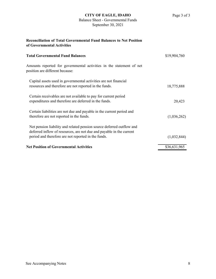## **Reconciliation of Total Governmental Fund Balances to Net Position of Governmental Activities**

| <b>Total Governmental Fund Balances</b>                                                                                                                                                              | \$19,904,760 |
|------------------------------------------------------------------------------------------------------------------------------------------------------------------------------------------------------|--------------|
| Amounts reported for governmental activities in the statement of net<br>position are different because:                                                                                              |              |
| Capital assets used in governmental activities are not financial<br>resources and therefore are not reported in the funds.                                                                           | 18,775,888   |
| Certain receivables are not available to pay for current period<br>expenditures and therefore are deferred in the funds.                                                                             | 20,423       |
| Certain liabilities are not due and payable in the current period and<br>therefore are not reported in the funds.                                                                                    | (1,036,262)  |
| Net pension liability and related pension source deferred outflow and<br>deferred inflow of resources, are not due and payable in the current<br>period and therefore are not reported in the funds. | (1,032,844)  |
| <b>Net Position of Governmental Activities</b>                                                                                                                                                       | \$36,631,965 |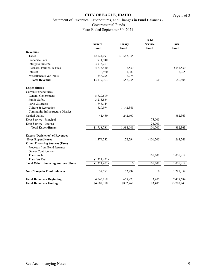## Statement of Revenues, Expenditures, and Changes in Fund Balances - Governmental Funds Year Ended September 30, 2021

|                                             |                         |                       | Debt                | Park                    |
|---------------------------------------------|-------------------------|-----------------------|---------------------|-------------------------|
|                                             | General                 | Library               | <b>Service</b>      |                         |
|                                             | Fund                    | Fund                  | Fund                | Fund                    |
| <b>Revenues</b>                             |                         |                       |                     |                         |
| Taxes                                       | \$2,524,091             | \$1,542,035           |                     |                         |
| <b>Franchise Fees</b>                       | 911,940                 |                       |                     |                         |
| Intergovernmental                           | 3,715,207               |                       |                     |                         |
| Licenses, Permits, & Fees                   | 4,633,450               | 6,539                 |                     | \$641,539               |
| Interest                                    | 6,980                   | 1,387                 |                     | 5,065                   |
| Miscellaneous & Grants                      | 1,346,295               | 7,274                 |                     |                         |
| <b>Total Revenues</b>                       | 13,137,963              | 1,557,235             | \$0                 | 646,604                 |
| <b>Expenditures</b>                         |                         |                       |                     |                         |
| <b>Current Expenditures</b>                 |                         |                       |                     |                         |
| <b>General Government</b>                   | 5,829,699               |                       |                     |                         |
| Public Safety                               | 3,213,834               |                       |                     |                         |
| Parks & Streets                             | 1,843,744               |                       |                     |                         |
| Culture & Recreation                        | 829,974                 | 1,142,341             |                     |                         |
| Community Infrastructure District           |                         |                       |                     |                         |
| Capital Outlay                              | 41,480                  | 242,600               |                     | 382,363                 |
| Debt Service - Principal                    |                         |                       | 75,000              |                         |
| Debt Service - Interest                     |                         |                       | 26,700              |                         |
| <b>Total Expenditures</b>                   | 11,758,731              | 1,384,941             | 101,700             | 382,363                 |
| <b>Excess (Deficiency) of Revenues</b>      |                         |                       |                     |                         |
| <b>Over Expenditures</b>                    | 1,379,232               | 172,294               | (101,700)           | 264,241                 |
| <b>Other Financing Sources (Uses)</b>       |                         |                       |                     |                         |
| Proceeds from Bond Issuance                 |                         |                       |                     |                         |
| <b>Owner Contributions</b>                  |                         |                       |                     |                         |
| Transfers In                                |                         |                       | 101,700             | 1,016,818               |
| <b>Transfers Out</b>                        | (1,321,451)             |                       |                     |                         |
| <b>Total Other Financing Sources (Uses)</b> | (1,321,451)             | $\boldsymbol{0}$      | 101,700             | 1,016,818               |
| <b>Net Change in Fund Balances</b>          | 57,781                  | 172,294               | $\boldsymbol{0}$    | 1,281,059               |
| <b>Fund Balances - Beginning</b>            | 4,545,169               | 659,973               | 3,405               | 2,419,684               |
| <b>Fund Balances - Ending</b>               | $\overline{84,602,950}$ | $\overline{$832,267}$ | $\overline{$3,405}$ | $\overline{33,700,743}$ |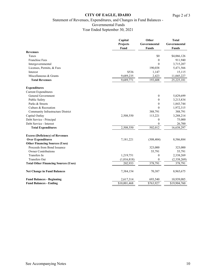## Statement of Revenues, Expenditures, and Changes in Fund Balances - Governmental Funds Year Ended September 30, 2021

|                                             | Capital      | Other            | <b>Total</b>        |
|---------------------------------------------|--------------|------------------|---------------------|
|                                             | Projects     | Governmental     | Governmental        |
| <b>Revenues</b>                             | Fund         | <b>Funds</b>     | <b>Funds</b>        |
| Taxes                                       |              | \$0              | \$4,066,126         |
| <b>Franchise Fees</b>                       |              | $\mathbf{0}$     | 911,940             |
| Intergovernmental                           |              | $\theta$         |                     |
| Licenses, Permits, & Fees                   |              | 190,038          | 3,715,207           |
| Interest                                    | \$536        | 1,147            | 5,471,566<br>15,115 |
| Miscellaneous & Grants                      |              |                  |                     |
|                                             | 9,689,235    | 2,423            | 11,045,227          |
| <b>Total Revenues</b>                       | 9,689,771    | 193,608          | 25, 225, 181        |
| <b>Expenditures</b>                         |              |                  |                     |
| <b>Current Expenditures</b>                 |              |                  |                     |
| <b>General Government</b>                   |              | $\mathbf{0}$     | 5,829,699           |
| Public Safety                               |              | $\mathbf{0}$     | 3,213,834           |
| Parks & Streets                             |              | $\theta$         | 1,843,744           |
| Culture & Recreation                        |              | $\theta$         | 1,972,315           |
| Community Infrastructure District           |              | 388,791          | 388,791             |
| Capital Outlay                              | 2,508,550    | 113,221          | 3,288,214           |
| Debt Service - Principal                    |              | $\theta$         | 75,000              |
| Debt Service - Interest                     |              | $\theta$         | 26,700              |
| <b>Total Expenditures</b>                   | 2,508,550    | 502,012          | 16,638,297          |
| <b>Excess (Deficiency) of Revenues</b>      |              |                  |                     |
| <b>Over Expenditures</b>                    | 7,181,221    | (308, 404)       | 8,586,884           |
| <b>Other Financing Sources (Uses)</b>       |              |                  |                     |
| Proceeds from Bond Issuance                 |              | 323,000          | 323,000             |
| <b>Owner Contributions</b>                  |              | 55,791           | 55,791              |
| Transfers In                                | 1,219,751    | $\boldsymbol{0}$ | 2,338,269           |
| <b>Transfers Out</b>                        | (1,016,818)  | $\boldsymbol{0}$ | (2,338,269)         |
| <b>Total Other Financing Sources (Uses)</b> | 202,933      | 378,791          | 378,791             |
| <b>Net Change in Fund Balances</b>          | 7,384,154    | 70,387           | 8,965,675           |
| <b>Fund Balances - Beginning</b>            | 2,617,314    | 693,540          | 10,939,085          |
| <b>Fund Balances - Ending</b>               | \$10,001,468 | \$763,927        | \$19,904,760        |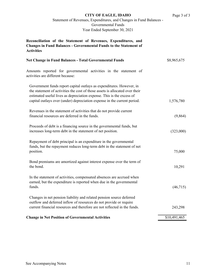## **CITY OF EAGLE, IDAHO** Statement of Revenues, Expenditures, and Changes in Fund Balances - Governmental Funds Year Ended September 30, 2021

| Reconciliation of the Statement of Revenues, Expenditures, and<br><b>Changes in Fund Balances - Governmental Funds to the Statement of</b><br><b>Activities</b>                                                               |              |
|-------------------------------------------------------------------------------------------------------------------------------------------------------------------------------------------------------------------------------|--------------|
| <b>Net Change in Fund Balances - Total Governmental Funds</b>                                                                                                                                                                 | \$8,965,675  |
| Amounts reported for governmental activities in the statement of<br>activities are different because:                                                                                                                         |              |
| Government funds report capital outlays as expenditures. However, in<br>the statement of activities the cost of those assets is allocated over their<br>estimated useful lives as depreciation expense. This is the excess of |              |
| capital outlays over (under) depreciation expense in the current period.                                                                                                                                                      | 1,576,780    |
| Revenues in the statement of activities that do not provide current<br>financial resources are deferred in the funds.                                                                                                         | (9,864)      |
| Proceeds of debt is a financing source in the governmental funds, but<br>increases long-term debt in the statement of net position.                                                                                           | (323,000)    |
| Repayment of debt principal is an expenditure in the governmental<br>funds, but the repayment reduces long-term debt in the statement of net<br>position.                                                                     | 75,000       |
| Bond premiums are amortized against interest expense over the term of<br>the bond.                                                                                                                                            | 10,291       |
| In the statement of activities, compensated absences are accrued when<br>earned, but the expenditure is reported when due in the governmental<br>funds.                                                                       | (46,715)     |
| Changes in net pension liability and related pension source deferred<br>outflow and deferred inflow of resources do not provide or require<br>current financial resources and therefore are not reflected in the funds.       | 243,298      |
|                                                                                                                                                                                                                               |              |
| <b>Change in Net Position of Governmental Activities</b>                                                                                                                                                                      | \$10,491,465 |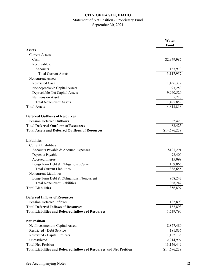## Statement of Net Position - Proprietary Fund September 30, 2021

|                                                                             | Water<br><b>Fund</b> |
|-----------------------------------------------------------------------------|----------------------|
| <b>Assets</b>                                                               |                      |
| <b>Current Assets</b>                                                       |                      |
| Cash                                                                        | \$2,979,987          |
| Receivables:                                                                |                      |
| Accounts                                                                    | 137,970              |
| <b>Total Current Assets</b>                                                 | 3,117,957            |
| <b>Noncurrent Assets</b>                                                    |                      |
| <b>Restricted Cash</b>                                                      | 1,456,372            |
| Nondepreciable Capital Assets                                               | 93,250               |
| Depreciable Net Capital Assets                                              | 9,940,520            |
| Net Pension Asset                                                           | 5,717                |
| <b>Total Noncurrent Assets</b>                                              | 11,495,859           |
| <b>Total Assets</b>                                                         | 14,613,816           |
| <b>Deferred Outflows of Resources</b>                                       |                      |
| <b>Pension Deferred Outflows</b>                                            | 82,423               |
| <b>Total Deferred Outflows of Resources</b>                                 | 82,423               |
| <b>Total Assets and Deferred Outflows of Resources</b>                      | \$14,696,239         |
|                                                                             |                      |
| <b>Liabilities</b>                                                          |                      |
| <b>Current Liabilities</b>                                                  |                      |
| Accounts Payable & Accrued Expenses                                         | \$121,291            |
| Deposits Payable                                                            | 92,400               |
| <b>Accrued Interest</b>                                                     | 15,099               |
| Long-Term Debt & Obligations, Current                                       | 159,865              |
| <b>Total Current Liabilities</b>                                            | 388,655              |
| Noncurrent Liabilities                                                      |                      |
| Long-Term Debt & Obligations, Noncurrent                                    | 968,242              |
| <b>Total Noncurrent Liabilities</b>                                         | 968,242              |
| <b>Total Liabilities</b>                                                    | 1,356,897            |
| <b>Deferred Inflows of Resources</b>                                        |                      |
| Pension Deferred Inflows                                                    | 182,893              |
| <b>Total Deferred Inflows of Resources</b>                                  | 182,893              |
| <b>Total Liabilities and Deferred Inflows of Resources</b>                  | 1,539,790            |
|                                                                             |                      |
| <b>Net Position</b>                                                         |                      |
| Net Investment in Capital Assets                                            | 8,877,480            |
| Restricted - Debt Service                                                   | 181,836              |
| Restricted - Capital Projects                                               | 1,182,136            |
| Unrestricted                                                                | 2,914,997            |
| <b>Total Net Position</b>                                                   | 13,156,449           |
| <b>Total Liabilities and Deferred Inflows of Resources and Net Position</b> | \$14,696,239         |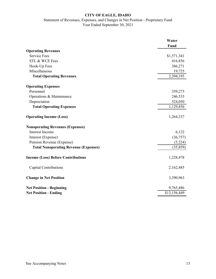## Statement of Revenues, Expenses, and Changes in Net Position - Proprietary Fund Year Ended September 30, 2021

|                                              | Water        |
|----------------------------------------------|--------------|
|                                              | Fund         |
| <b>Operating Revenues</b>                    |              |
| <b>Service Fees</b>                          | \$1,571,341  |
| <b>STL &amp; WCE Fees</b>                    | 416,856      |
| Hook-Up Fees                                 | 386,271      |
| Miscellaneous                                | 19,725       |
| <b>Total Operating Revenues</b>              | 2,394,193    |
| <b>Operating Expenses</b>                    |              |
| Personnel                                    | 359,273      |
| Operations & Maintenance                     | 246,533      |
| Depreciation                                 | 524,050      |
| <b>Total Operating Expenses</b>              | 1,129,856    |
| <b>Operating Income (Loss)</b>               | 1,264,337    |
| <b>Nonoperating Revenues (Expenses)</b>      |              |
| Interest Income                              | 6,122        |
| Interest (Expense)                           | (36,757)     |
| Pension Revenue (Expense)                    | (5,224)      |
| <b>Total Nonoperating Revenue (Expenses)</b> | (35, 859)    |
| <b>Income (Loss) Before Contributions</b>    | 1,228,478    |
| <b>Capital Contributions</b>                 | 2,162,485    |
| <b>Change in Net Position</b>                | 3,390,963    |
| <b>Net Position - Beginning</b>              | 9,765,486    |
| <b>Net Position - Ending</b>                 | \$13,156,449 |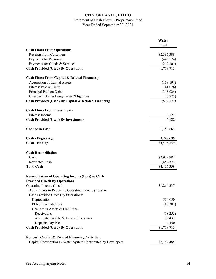## Statement of Cash Flows - Proprietary Fund Year Ended September 30, 2021

|                                                                                                                              | Water<br>Fund |
|------------------------------------------------------------------------------------------------------------------------------|---------------|
| <b>Cash Flows From Operations</b>                                                                                            |               |
| Receipts from Customers                                                                                                      | \$2,385,388   |
| Payments for Personnel                                                                                                       | (446, 574)    |
| Payments for Goods & Services                                                                                                | (219, 101)    |
| <b>Cash Provided (Used) By Operations</b>                                                                                    | 1,719,713     |
| <b>Cash Flows From Capital &amp; Related Financing</b>                                                                       |               |
| <b>Acquisition of Capital Assets</b>                                                                                         | (169, 197)    |
| <b>Interest Paid on Debt</b>                                                                                                 | (41,076)      |
| Principal Paid on Debt                                                                                                       | (318, 924)    |
| Changes in Other Long-Term Obligations                                                                                       | (7, 975)      |
| Cash Provided (Used) By Capital & Related Financing                                                                          | (537, 172)    |
| <b>Cash Flows From Investments</b>                                                                                           |               |
| Interest Income                                                                                                              | 6,122         |
| <b>Cash Provided (Used) By Investments</b>                                                                                   | 6,122         |
| <b>Change in Cash</b>                                                                                                        | 1,188,663     |
| <b>Cash - Beginning</b>                                                                                                      | 3,247,696     |
| <b>Cash - Ending</b>                                                                                                         | \$4,436,359   |
| <b>Cash Reconciliation</b>                                                                                                   |               |
| Cash                                                                                                                         | \$2,979,987   |
| <b>Restricted Cash</b>                                                                                                       | 1,456,372     |
| <b>Total Cash</b>                                                                                                            | \$4,436,359   |
|                                                                                                                              |               |
| <b>Reconciliation of Operating Income (Loss) to Cash</b><br><b>Provided (Used) By Operations</b>                             |               |
| Operating Income (Loss)                                                                                                      | \$1,264,337   |
| Adjustments to Reconcile Operating Income (Loss) to                                                                          |               |
| Cash Provided (Used) by Operations:                                                                                          |               |
| Depreciation                                                                                                                 | 524,050       |
| <b>PERSI</b> Contributions                                                                                                   | (87,301)      |
| Changes in Assets & Liabilities:                                                                                             |               |
| Receivables                                                                                                                  | (18,255)      |
| Accounts Payable & Accrued Expenses                                                                                          | 27,432        |
| Deposits Payable                                                                                                             | 9,450         |
| <b>Cash Provided (Used) By Operations</b>                                                                                    | \$1,719,713   |
|                                                                                                                              |               |
| <b>Noncash Capital &amp; Related Financing Activities:</b><br>Capital Contributions - Water System Contributed by Developers | \$2,162,485   |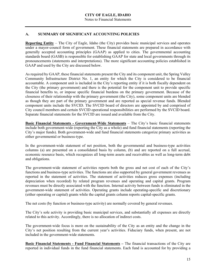#### **A. SUMMARY OF SIGNIFICANT ACCOUNTING POLICIES**

**Reporting Entity** – The City of Eagle, Idaho (the City) provides basic municipal services and operates under a mayor-council form of government. These financial statements are prepared in accordance with generally accepted accounting principles (GAAP) as applied to cities. The governmental accounting standards board (GASB) is responsible for establishing GAAP for state and local governments through its pronouncements (statements and interpretations). The more significant accounting policies established in GAAP and used by the City are discussed below.

As required by GAAP, these financial statements present the City and its component unit, the Spring Valley Community Infrastructure District No. 1, an entity for which the City is considered to be financial accountable. A component unit is included in the City's reporting entity if it is both fiscally dependent on the City (the primary government) and there is the potential for the component unit to provide specific financial benefits to, or impose specific financial burdens on the primary government. Because of the closeness of their relationship with the primary government (the City), some component units are blended as though they are part of the primary government and are reported as special revenue funds. Blended component units include the SVCID. The SVCID board of directors are appointed by and comprised of City council members and certain SVCID operational responsibilities are performed by the SVCID board. Separate financial statements for the SVCID are issued and available from the City.

**Basic Financial Statements - Government-Wide Statements** – The City's basic financial statements include both government-wide (reporting the City as a whole) and fund financial statements (reporting the City's major funds). Both government-wide and fund financial statements categorize primary activities as either governmental or business-type.

In the government-wide statement of net position, both the governmental and business-type activities columns (a) are presented on a consolidated basis by column, (b) and are reported on a full accrual, economic resource basis, which recognizes all long-term assets and receivables as well as long-term debt and obligations.

The government-wide statement of activities reports both the gross and net cost of each of the City's functions and business-type activities. The functions are also supported by general government revenues as reported in the statement of activities. The statement of activities reduces gross expenses (including depreciation when recorded) by related program revenues and operating and capital grants. Program revenues must be directly associated with the function. Internal activity between funds is eliminated in the government-wide statement of activities. Operating grants include operating-specific and discretionary (either operating or capital) grants while the capital grants column reports capital-specific grants.

The net costs (by function or business-type activity) are normally covered by general revenues.

The City's sole activity is providing basic municipal services, and substantially all expenses are directly related to this activity. Accordingly, there is no allocation of indirect costs.

The government-wide focus is more on the sustainability of the City as an entity and the change in the City's net position resulting from the current year's activities. Fiduciary funds, when present, are not included in the government-wide statements.

**Basic Financial Statements - Fund Financial Statements –** The financial transactions of the City are reported in individual funds in the fund financial statements. Each fund is accounted for by providing a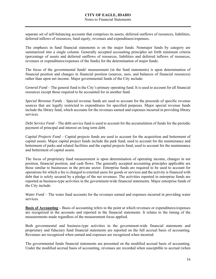#### **CITY OF EAGLE, IDAHO**  Notes to Financial Statements

separate set of self-balancing accounts that comprises its assets, deferred outflows of resources, liabilities, deferred inflows of resources, fund equity, revenues and expenditures/expenses.

The emphasis in fund financial statements is on the major funds. Nonmajor funds by category are summarized into a single column. Generally accepted accounting principles set forth minimum criteria (percentage of assets and deferred outflows of resources, liabilities and deferred inflows of resources, revenues or expenditures/expenses of the funds) for the determination of major funds.

The focus of the governmental funds' measurement (in the fund statements) is upon determination of financial position and changes in financial position (sources, uses, and balances of financial resources) rather than upon net income. Major governmental funds of the City include:

*General Fund* – The general fund is the City's primary operating fund. It is used to account for all financial resources except those required to be accounted for in another fund.

*Special Revenue Funds* – Special revenue funds are used to account for the proceeds of specific revenue sources that are legally restricted to expenditures for specified purposes. Major special revenue funds include the library fund, which accounts for the revenues earned and expenses incurred in providing library services.

*Debt Service Fund* – The debt service fund is used to account for the accumulation of funds for the periodic payment of principal and interest on long term debt.

*Capital Projects Fund* – Capital projects funds are used to account for the acquisition and betterment of capital assets. Major capital project funds include the park fund, used to account for the maintenance and betterment of parks and related facilities and the capital projects fund, used to account for the maintenance and betterment of capital assets.

The focus of proprietary fund measurement is upon determination of operating income, changes in net position, financial position, and cash flows. The generally accepted accounting principles applicable are those similar to businesses in the private sector. Enterprise funds are required to be used to account for operations for which a fee is charged to external users for goods or services and the activity is financed with debt that is solely secured by a pledge of the net revenues. The activities reported in enterprise funds are reported as business-type activities in the government-wide financial statements. Major enterprise funds of the City include:

*Water Fund* – The water fund accounts for the revenues earned and expenses incurred in providing water services.

**Basis of Accounting –** Basis of accounting refers to the point at which revenues or expenditures/expenses are recognized in the accounts and reported in the financial statements. It relates to the timing of the measurements made regardless of the measurement focus applied.

Both governmental and business-type activities in the government-wide financial statements and proprietary and fiduciary fund financial statements are reported on the full accrual basis of accounting. Revenues are recognized when earned and expenses are recognized when incurred.

The governmental funds financial statements are presented on the modified accrual basis of accounting. Under the modified accrual basis of accounting, revenues are recorded when susceptible to accrual (when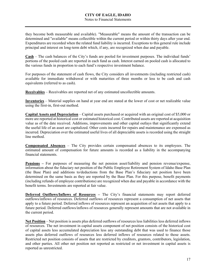they become both measurable and available). "Measurable" means the amount of the transaction can be determined and "available" means collectible within the current period or within thirty days after year end. Expenditures are recorded when the related fund liability is incurred. Exceptions to this general rule include principal and interest on long-term debt which, if any, are recognized when due and payable.

**Cash** – The cash balances of the City's funds are pooled for investment purposes. The individual funds' portions of the pooled cash are reported in each fund as cash. Interest earned on pooled cash is allocated to the various funds in proportion to each fund's respective investment balance.

For purposes of the statement of cash flows, the City considers all investments (including restricted cash) available for immediate withdrawal or with maturities of three months or less to be cash and cash equivalents (referred to as cash).

**Receivables** – Receivables are reported net of any estimated uncollectible amounts.

**Inventories** – Material supplies on hand at year end are stated at the lower of cost or net realizable value using the first-in, first-out method.

**Capital Assets and Depreciation** – Capital assets purchased or acquired with an original cost of \$5,000 or more are reported at historical cost or estimated historical cost. Contributed assets are reported at acquisition value as of the date received. Additions, improvements and other capital outlays that significantly extend the useful life of an asset are capitalized. Other costs incurred for repairs and maintenance are expensed as incurred. Depreciation over the estimated useful lives of all depreciable assets is recorded using the straight line method.

**Compensated Absences** – The City provides certain compensated absences to its employees. The estimated amount of compensation for future amounts is recorded as a liability in the accompanying financial statements.

**Pensions –** For purposes of measuring the net pension asset/liability and pension revenue/expense, information about the fiduciary net position of the Public Employee Retirement System of Idaho Base Plan (the Base Plan) and additions to/deductions from the Base Plan's fiduciary net position have been determined on the same basis as they are reported by the Base Plan. For this purpose, benefit payments (including refunds of employee contributions) are recognized when due and payable in accordance with the benefit terms. Investments are reported at fair value.

**Deferred Outflows/Inflows of Resources –** The City's financial statements may report deferred outflows/inflows of resources. Deferred outflows of resources represent a consumption of net assets that apply to a future period. Deferred inflows of resources represent an acquisition of net assets that apply to a future period. Deferred outflows/inflows of resources generally represent amounts that are not available in the current period.

**Net Position** – Net position is assets plus deferred outflows of resources less liabilities less deferred inflows of resources. The net investment in capital assets component of net position consists of the historical cost of capital assets less accumulated depreciation less any outstanding debt that was used to finance those assets plus deferred outflows of resources less deferred inflows of resources related to those assets. Restricted net position consists of assets that are restricted by creditors, grantors, contributors, legislation, and other parties. All other net position not reported as restricted or net investment in capital assets is reported as unrestricted.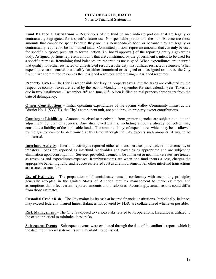**Fund Balance Classifications** – Restrictions of the fund balance indicate portions that are legally or contractually segregated for a specific future use. Nonspendable portions of the fund balance are those amounts that cannot be spent because they are in a nonspendable form or because they are legally or contractually required to be maintained intact. Committed portions represent amounts that can only be used for specific purposes pursuant to formal action (i.e. board approval) of the reporting entity's governing body. Assigned portions represent amounts that are constrained by the government's intent to be used for a specific purpose. Remaining fund balances are reported as unassigned. When expenditures are incurred that qualify for either restricted or unrestricted resources, the City first utilizes restricted resources. When expenditures are incurred that qualify for either committed or assigned or unassigned resources, the City first utilizes committed resources then assigned resources before using unassigned resources.

**Property Taxes** – The City is responsible for levying property taxes, but the taxes are collected by the respective county. Taxes are levied by the second Monday in September for each calendar year. Taxes are due in two installments – December  $20<sup>th</sup>$  and June  $20<sup>th</sup>$ . A lien is filed on real property three years from the date of delinquency.

**Owner Contributions** – Initial operating expenditures of the Spring Valley Community Infrastructure District No. 1 (SVCID), the City's component unit, are paid through property owner contributions.

**Contingent Liabilities** – Amounts received or receivable from grantor agencies are subject to audit and adjustment by grantor agencies. Any disallowed claims, including amounts already collected, may constitute a liability of the applicable funds. The amount, if any, of expenditures which may be disallowed by the grantor cannot be determined at this time although the City expects such amounts, if any, to be immaterial.

**Interfund Activity** – Interfund activity is reported either as loans, services provided, reimbursements, or transfers. Loans are reported as interfund receivables and payables as appropriate and are subject to elimination upon consolidation. Services provided, deemed to be at market or near market rates, are treated as revenues and expenditures/expenses. Reimbursements are when one fund incurs a cost, charges the appropriate benefiting fund, and reduces its related cost as a reimbursement. All other interfund transactions are treated as transfers.

**Use of Estimates** – The preparation of financial statements in conformity with accounting principles generally accepted in the United States of America requires management to make estimates and assumptions that affect certain reported amounts and disclosures. Accordingly, actual results could differ from those estimates.

**Custodial Credit Risk** – The City maintains its cash at insured financial institutions. Periodically, balances may exceed federally insured limits. Balances not covered by FDIC are collateralized whenever possible.

**Risk Management** – The City is exposed to various risks related to its operations. Insurance is utilized to the extent practical to minimize these risks.

**Subsequent Events –** Subsequent events were evaluated through the date of the auditor's report, which is the date the financial statements were available to be issued.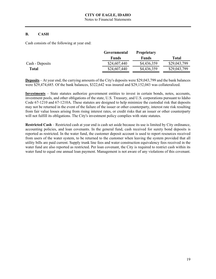## **B. CASH**

Cash consists of the following at year end:

|                 | Governmental | <b>Proprietary</b> |              |
|-----------------|--------------|--------------------|--------------|
|                 | Funds        | Funds              | Total        |
| Cash - Deposits | \$24,607,440 | \$4,436,359        | \$29,043,799 |
| Total           | \$24,607,440 | \$4,436,359        | \$29,043,799 |

**Deposits** – At year end, the carrying amounts of the City's deposits were \$29,043,799 and the bank balances were \$29,474,685. Of the bank balances, \$322,642 was insured and \$29,152,043 was collateralized.

**Investments** – State statutes authorize government entities to invest in certain bonds, notes, accounts, investment pools, and other obligations of the state, U.S. Treasury, and U.S. corporations pursuant to Idaho Code 67-1210 and 67-1210A. These statutes are designed to help minimize the custodial risk that deposits may not be returned in the event of the failure of the issuer or other counterparty, interest rate risk resulting from fair value losses arising from rising interest rates, or credit risks that an issuer or other counterparty will not fulfill its obligations. The City's investment policy complies with state statutes.

**Restricted Cash** – Restricted cash at year end is cash set aside because its use is limited by City ordinance, accounting policies, and loan covenants. In the general fund, cash received for surety bond deposits is reported as restricted. In the water fund, the customer deposit account is used to report resources received from users of the water system, to be returned to the customer when leaving the system provided that all utility bills are paid current. Supply trunk line fees and water construction equivalency fees received in the water fund are also reported as restricted. Per loan covenant, the City is required to restrict cash within its water fund to equal one annual loan payment. Management is not aware of any violations of this covenant.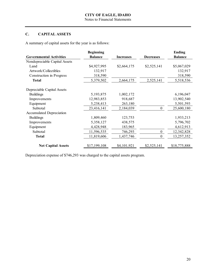## **C. CAPITAL ASSETS**

A summary of capital assets for the year is as follows:

|                                 | <b>Beginning</b> |                  |                  | <b>Ending</b>  |
|---------------------------------|------------------|------------------|------------------|----------------|
| <b>Governmental Activities</b>  | <b>Balance</b>   | <b>Increases</b> | <b>Decreases</b> | <b>Balance</b> |
| Nondepreciable Capital Assets   |                  |                  |                  |                |
| Land                            | \$4,927,995      | \$2,664,175      | \$2,525,141      | \$5,067,029    |
| Artwork/Collectibles            | 132,917          |                  |                  | 132,917        |
| <b>Construction</b> in Progress | 318,590          |                  |                  | 318,590        |
| Total                           | 5,379,502        | 2,664,175        | 2,525,141        | 5,518,536      |
| Depreciable Capital Assets      |                  |                  |                  |                |
| <b>Buildings</b>                | 5,193,875        | 1,002,172        |                  | 6,196,047      |
| Improvements                    | 12,983,853       | 918,687          |                  | 13,902,540     |
| Equipment                       | 5,238,413        | 263,180          |                  | 5,501,593      |
| Subtotal                        | 23,416,141       | 2,184,039        | $\mathbf{0}$     | 25,600,180     |
| <b>Accumulated Depreciation</b> |                  |                  |                  |                |
| <b>Buildings</b>                | 1,809,460        | 123,753          |                  | 1,933,213      |
| Improvements                    | 5,358,127        | 438,575          |                  | 5,796,702      |
| Equipment                       | 4,428,948        | 183,965          |                  | 4,612,913      |
| Subtotal                        | 11,596,535       | 746,293          | $\mathbf{0}$     | 12,342,828     |
| <b>Total</b>                    | 11,819,606       | 1,437,746        | $\theta$         | 13,257,352     |
|                                 | \$17,199,108     | \$4,101,921      | \$2,525,141      | \$18,775,888   |
| <b>Net Capital Assets</b>       |                  |                  |                  |                |

Depreciation expense of \$746,293 was charged to the capital assets program.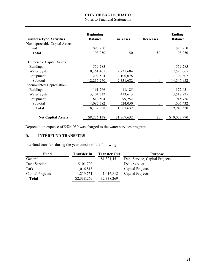Notes to Financial Statements

| <b>Business-Type Activities</b> | <b>Beginning</b><br><b>Balance</b> | <b>Increases</b> | <b>Decreases</b> | Ending<br><b>Balance</b> |
|---------------------------------|------------------------------------|------------------|------------------|--------------------------|
| Nondepreciable Capital Assets   |                                    |                  |                  |                          |
| Land                            | \$93,250                           |                  |                  | \$93,250                 |
| Total                           | 93,250                             | \$0              | \$0              | 93,250                   |
| Depreciable Capital Assets      |                                    |                  |                  |                          |
| <b>Buildings</b>                | 559,285                            |                  |                  | 559,285                  |
| Water System                    | 10,361,461                         | 2,231,604        |                  | 12,593,065               |
| Equipment                       | 1,294,524                          | 100,078          |                  | 1,394,602                |
| Subtotal                        | 12,215,270                         | 2,331,682        | $\theta$         | 14,546,952               |
| <b>Accumulated Depreciation</b> |                                    |                  |                  |                          |
| <b>Buildings</b>                | 161,266                            | 11,185           |                  | 172,451                  |
| Water System                    | 3,104,612                          | 413,613          |                  | 3,518,225                |
| Equipment                       | 816,504                            | 99,252           |                  | 915,756                  |
| Subtotal                        | 4,082,382                          | 524,050          | $\theta$         | 4,606,432                |
| <b>Total</b>                    | 8,132,888                          | 1,807,632        | $\theta$         | 9,940,520                |
| <b>Net Capital Assets</b>       | \$8,226,138                        | \$1,807,632      | \$0              | \$10,033,770             |

Depreciation expense of \$524,050 was charged to the water services program.

## **D. INTERFUND TRANSFERS**

Interfund transfers during the year consist of the following:

| Fund             | <b>Transfer In</b> | <b>Transfer Out</b> | <b>Purpose</b>                 |
|------------------|--------------------|---------------------|--------------------------------|
| General          |                    | \$1,321,451         | Debt Service, Capital Projects |
| Debt Service     | \$101,700          |                     | Debt Service                   |
| Park             | 1,016,818          |                     | Capital Projects               |
| Capital Projects | 1,219,751          | 1,016,818           | Capital Projects               |
| <b>Total</b>     | \$2,338,269        | \$2,338,269         |                                |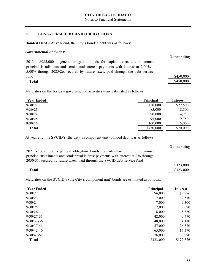#### **E. LONG-TERM DEBT AND OBLIGATIONS**

**Bonded Debt** – At year end, the City's bonded debt was as follows:

#### *Governmental Activities:*

|                                                                                  | Outstanding |
|----------------------------------------------------------------------------------|-------------|
| 2013 - \$985,000 - general obligation bonds for capital assets due in annual     |             |
| principal installments and semiannual interest payments with interest at 2.00% - |             |
| 5.00% through 2025/26, secured by future taxes, paid through the debt service    |             |
| fund                                                                             | \$450,000   |
| Total                                                                            | \$450,000   |

Maturities on the bonds – governmental activities – are estimated as follows:

| <b>Year Ended</b> | Principal | <b>Interest</b> |
|-------------------|-----------|-----------------|
| 9/30/22           | \$80,000  | \$22,500        |
| 9/30/23           | 85,000    | 18,500          |
| 9/30/24           | 90,000    | 14,250          |
| 9/30/25           | 95,000    | 9,750           |
| 9/30/26           | 100,000   | 5,000           |
| <b>Total</b>      | \$450,000 | \$70,000        |

At year end, the SVCID's (the City's component unit) bonded debt was as follows:

|                                                                                     | Outstanding |
|-------------------------------------------------------------------------------------|-------------|
| 2021 - \$323,000 - general obligation bonds for infrastructure due in annual        |             |
| principal installments and semiannual interest payments with interest at 3% through |             |
| 2050/51, secured by future taxes, paid through the SVCID debt service fund          |             |
|                                                                                     | \$323,000   |
| Total                                                                               | \$323,000   |

Maturities on the SVCID's (the City's component unit) bonds are estimated as follows:

| <b>Year Ended</b> | <b>Principal</b> | Interest  |
|-------------------|------------------|-----------|
| 9/30/22           | \$6,000          | \$9,986   |
| 9/30/23           | 7,000            | 9,510     |
| 9/30/24           | 7,000            | 9,300     |
| 9/30/25           | 7,000            | 9,090     |
| 9/30/26           | 8,000            | 8,880     |
| $9/30/27 - 31$    | 42,000           | 40,770    |
| $9/30/32 - 36$    | 48,000           | 34,110    |
| $9/30/37 - 41$    | 57,000           | 26,370    |
| $9/30/42 - 46$    | 65,000           | 17,370    |
| $9/30/47 - 51$    | 76,000           | 6,990     |
| <b>Total</b>      | \$323,000        | \$172,376 |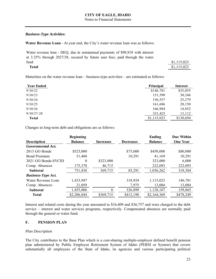#### *Business-Type Activities:*

**Water Revenue Loan** - At year end, the City's water revenue loan was as follows:

Water revenue loan - DEQ, due in semiannual payments of \$90,918 with interest at 3.25% through 2027/28, secured by future user fees, paid through the water fund \$1,115,023 **Total** \$1,115,023

Maturities on the water revenue loan – business-type activities – are estimated as follows:

| <b>Year Ended</b> | Principal   | <b>Interest</b> |
|-------------------|-------------|-----------------|
| 9/30/22           | \$146,781   | \$35,055        |
| 9/30/23           | 151,590     | 30,246          |
| 9/30/24           | 156,557     | 25,279          |
| 9/30/25           | 161,686     | 20,150          |
| 9/30/26           | 166,984     | 14,852          |
| $9/30/27 - 28$    | 331,425     | 13,112          |
| Total             | \$1,115,023 | \$138,694       |

Changes in long-term debt and obligations are as follows:

|                           | <b>Beginning</b> |                  |                  | Ending         | <b>Due Within</b> |
|---------------------------|------------------|------------------|------------------|----------------|-------------------|
| <b>Description</b>        | <b>Balance</b>   | <b>Increases</b> | <b>Decreases</b> | <b>Balance</b> | <b>One Year</b>   |
| Governmental Act.         |                  |                  |                  |                |                   |
| 2013 GO Bonds             | \$525,000        |                  | \$75,000         | \$450,000      | \$80,000          |
| <b>Bond Premium</b>       | 51,460           |                  | 10,291           | 41,169         | 10,291            |
| 2021 GO Bonds-SVCID       | $\theta$         | \$323,000        |                  | 323,000        | 6,000             |
| Comp. Absences            | 175,378          | 46,715           |                  | 222,093        | 222,093           |
| <b>Subtotal</b>           | 751,838          | 369,715          | 85,291           | 1,036,262      | 318,384           |
| <b>Business-Type Act.</b> |                  |                  |                  |                |                   |
| Water Revenue Loan        | 1,433,947        |                  | 318,924          | 1,115,023      | 146,781           |
| Comp. Absences            | 21,059           |                  | 7,975            | 13,084         | 13,084            |
| <b>Subtotal</b>           | 1,455,006        | 0                | 326,899          | 1,128,107      | 159,865           |
| <b>Total</b>              | \$2,206,844      | \$369,715        | \$412,190        | \$2,164,369    | \$478,249         |

Interest and related costs during the year amounted to \$16,409 and \$36,757 and were charged to the debt service – interest and water services programs, respectively. Compensated absences are normally paid through the general or water fund.

#### **F. PENSION PLAN**

#### *Plan Description*

The City contributes to the Base Plan which is a cost-sharing multiple-employer defined benefit pension plan administered by Public Employee Retirement System of Idaho (PERSI or System) that covers substantially all employees of the State of Idaho, its agencies and various participating political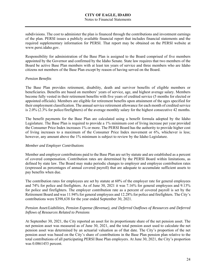subdivisions. The cost to administer the plan is financed through the contributions and investment earnings of the plan. PERSI issues a publicly available financial report that includes financial statements and the required supplementary information for PERSI. That report may be obtained on the PERSI website at www.persi.idaho.gov.

Responsibility for administration of the Base Plan is assigned to the Board comprised of five members appointed by the Governor and confirmed by the Idaho Senate. State law requires that two members of the Board be active Base Plan members with at least ten years of service and three members who are Idaho citizens not members of the Base Plan except by reason of having served on the Board.

#### *Pension Benefits*

The Base Plan provides retirement, disability, death and survivor benefits of eligible members or beneficiaries. Benefits are based on members' years of service, age, and highest average salary. Members become fully vested in their retirement benefits with five years of credited service (5 months for elected or appointed officials). Members are eligible for retirement benefits upon attainment of the ages specified for their employment classification. The annual service retirement allowance for each month of credited service is 2.0% (2.3% for police/firefighters) of the average monthly salary for the highest consecutive 42 months.

The benefit payments for the Base Plan are calculated using a benefit formula adopted by the Idaho Legislature. The Base Plan is required to provide a 1% minimum cost of living increase per year provided the Consumer Price Index increases 1% or more. The PERSI Board has the authority to provide higher cost of living increases to a maximum of the Consumer Price Index movement or 6%, whichever is less; however, any amount above the 1% minimum is subject to review by the Idaho Legislature.

#### *Member and Employer Contributions*

Member and employer contributions paid to the Base Plan are set by statute and are established as a percent of covered compensation. Contribution rates are determined by the PERSI Board within limitations, as defined by state law. The Board may make periodic changes to employer and employee contribution rates (expressed as percentages of annual covered payroll) that are adequate to accumulate sufficient assets to pay benefits when due.

The contribution rates for employees are set by statute at 60% of the employer rate for general employees and 74% for police and firefighters. As of June 30, 2021 it was 7.16% for general employees and 9.13% for police and firefighters. The employer contribution rate as a percent of covered payroll is set by the Retirement Board and was 11.94% for general employees and 12.28% for police and firefighters. The City's contributions were \$398,638 for the year ended September 30, 2021.

#### *Pension Asset/Liabilities, Pension Expense (Revenue), and Deferred Outflows of Resources and Deferred Inflows of Resources Related to Pensions*

At September 30, 2021, the City reported an asset for its proportionate share of the net pension asset. The net pension asset was measured as of June 30, 2021, and the total pension asset used to calculate the net pension asset was determined by an actuarial valuation as of that date. The City's proportion of the net pension asset was based on the City's share of contributions in the Base Plan pension plan relative to the total contributions of all participating PERSI Base Plan employers. At June 30, 2021, the City's proportion was 0.0861453 percent.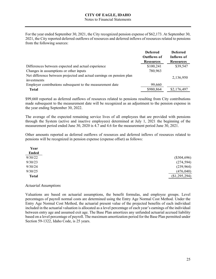For the year ended September 30, 2021, the City recognized pension expense of \$62,173. At September 30, 2021, the City reported deferred outflows of resources and deferred inflows of resources related to pensions from the following sources:

|                                                                      | <b>Deferred</b>    | <b>Deferred</b>  |  |
|----------------------------------------------------------------------|--------------------|------------------|--|
|                                                                      | <b>Outflows of</b> | Inflows of       |  |
|                                                                      | <b>Resources</b>   | <b>Resources</b> |  |
| Differences between expected and actual experience                   | \$100,241          | \$39,547         |  |
| Changes in assumptions or other inputs                               | 780,963            |                  |  |
| Net difference between projected and actual earnings on pension plan |                    | 2,136,950        |  |
| investments                                                          |                    |                  |  |
| Employer contributions subsequent to the measurement date            | 99,660             |                  |  |
| <b>Total</b>                                                         | \$980,864          | \$2,176,497      |  |

\$99,660 reported as deferred outflows of resources related to pensions resulting from City contributions made subsequent to the measurement date will be recognized as an adjustment to the pension expense in the year ending September 30, 2022.

The average of the expected remaining service lives of all employees that are provided with pensions through the System (active and inactive employees) determined at July 1, 2021 the beginning of the measurement period ended June 30, 2020 is 4.7 and 4.6 for the measurement period June 30, 2021.

Other amounts reported as deferred outflows of resources and deferred inflows of resources related to pensions will be recognized in pension expense (expense offset) as follows:

| Year         |               |
|--------------|---------------|
| <b>Ended</b> |               |
| 9/30/22      | $(\$304,696)$ |
| 9/30/23      | (274, 594)    |
| 9/30/24      | (239, 964)    |
| 9/30/25      | (476, 040)    |
| <b>Total</b> | (\$1,295,294) |

*Actuarial Assumptions* 

Valuations are based on actuarial assumptions, the benefit formulas, and employee groups. Level percentages of payroll normal costs are determined using the Entry Age Normal Cost Method. Under the Entry Age Normal Cost Method, the actuarial present value of the projected benefits of each individual included in the actuarial valuation is allocated as a level percentage of each year's earnings of the individual between entry age and assumed exit age. The Base Plan amortizes any unfunded actuarial accrued liability based on a level percentage of payroll. The maximum amortization period for the Base Plan permitted under Section 59-1322, Idaho Code, is 25 years.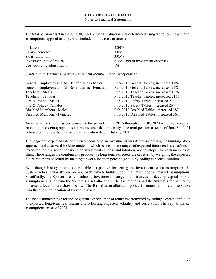The total pension asset in the June 30, 2021 actuarial valuation was determined using the following actuarial assumptions, applied to all periods included in the measurement:

| Inflation                  | 2.30%                                 |
|----------------------------|---------------------------------------|
| Salary increases           | 3.05%                                 |
| Salary inflation           | 3.05%                                 |
| Investment rate of return  | $6.35\%$ , net of investment expenses |
| Cost-of-living adjustments | $1\%$                                 |

*Contributing Members, Service Retirement Members, and Beneficiaries* 

| General Employees and All Beneficiaries - Males   | Pub-2010 General Tables, increased 11%  |
|---------------------------------------------------|-----------------------------------------|
| General Employees and All Beneficiaries - Females | Pub-2010 General Tables, increased 21%  |
| Teachers - Males                                  | Pub-2010 Teacher Tables, increased 12%  |
| Teachers - Females                                | Pub-2010 Teacher Tables, increased 21%  |
| Fire & Police - Males                             | Pub-2010 Safety Tables, increased 21%   |
| Fire & Police - Females                           | Pub-2010 Safety Tables, increased 26%   |
| Disabled Members - Males                          | Pub-2010 Disabled Tables, increased 38% |
| Disabled Members - Females                        | Pub-2010 Disabled Tables, increased 36% |

An experience study was performed for the period July 1, 2015 through June 30, 2020 which reviewed all economic and demographic assumptions other than mortality. The total pension asset as of June 30, 2021 is based on the results of an actuarial valuation date of July 1, 2021.

The long-term expected rate of return on pension plan investments was determined using the building block approach and a forward-looking model in which best estimate ranges of expected future real rates of return (expected returns, net of pension plan investment expense and inflation) are developed for each major asset class. These ranges are combined to produce the long-term expected rate of return by weighing the expected future real rates of return by the target asset allocation percentage and by adding expected inflation.

Even though history provides a valuable perspective for setting the investment return assumption, the System relies primarily on an approach which builds upon the latest capital market assumptions. Specifically, the System uses consultants, investment managers and trustees to develop capital market assumptions in analyzing the System's asset allocation. The assumptions and the System's formal policy for asset allocation are shown below. The formal asset allocation policy is somewhat more conservative than the current allocation of System's assets.

The best-estimate range for the long-term expected rate of return is determined by adding expected inflation to expected long-term real returns and reflecting expected volatility and correlation. The capital market assumptions are as of 2021.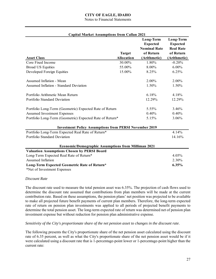#### Notes to Financial Statements

| Capital Market Assumptions from Callan 2021                   |                   |                     |                  |
|---------------------------------------------------------------|-------------------|---------------------|------------------|
|                                                               |                   | Long-Term           | Long-Term        |
|                                                               |                   | <b>Expected</b>     | <b>Expected</b>  |
|                                                               |                   | <b>Nominal Rate</b> | <b>Real Rate</b> |
|                                                               | <b>Target</b>     | of Return           | of Return        |
| <b>Asset Class</b>                                            | <b>Allocation</b> | (Arithmetic)        | (Arithmetic)     |
| Core Fixed Income                                             | 30.00%            | 1.80%               | $-0.20%$         |
| <b>Broad US Equities</b>                                      | 55.00%            | 8.00%               | $6.00\%$         |
| Developed Foreign Equities                                    | 15.00%            | 8.25%               | 6.25%            |
| Assumed Inflation - Mean                                      |                   | 2.00%               | 2.00%            |
| <b>Assumed Inflation - Standard Deviation</b>                 |                   | 1.50%               | 1.50%            |
| Portfolio Arithmetic Mean Return                              |                   | 6.18%               | 4.18%            |
| Portfolio Standard Deviation                                  |                   | 12.29%              | 12.29%           |
| Portfolio Long-Term (Geometric) Expected Rate of Return       |                   | 5.55%               | 3.46%            |
| <b>Assumed Investment Expenses</b>                            |                   | 0.40%               | 0.40%            |
| Portfolio Long-Term (Geometric) Expected Rate of Return*      |                   | 5.15%               | 3.06%            |
| <b>Investment Policy Assumptions from PERSI November 2019</b> |                   |                     |                  |
| Portfolio Long-Term Expected Real Rate of Return*             |                   |                     | 4.14%            |
| Portfolio Standard Deviation                                  |                   |                     | 14.16%           |
| <b>Economic/Demographic Assumptions from Milliman 2021</b>    |                   |                     |                  |
| <b>Valuation Assumptions Chosen by PERSI Board</b>            |                   |                     |                  |
| Long-Term Expected Real Rate of Return*                       |                   |                     | 4.05%            |
| Assumed Inflation                                             |                   |                     | 2.30%            |
| Long-Term Expected Geometric Rate of Return*                  |                   |                     | 6.35%            |
| *Net of Investment Expenses                                   |                   |                     |                  |

#### **Capital Market Assumptions from Callan 2021**

#### *Discount Rate*

The discount rate used to measure the total pension asset was 6.35%. The projection of cash flows used to determine the discount rate assumed that contributions from plan members will be made at the current contribution rate. Based on these assumptions, the pension plans' net position was projected to be available to make all projected future benefit payments of current plan members. Therefore, the long-term expected rate of return on pension plan investments was applied to all periods of projected benefit payments to determine the total pension asset. The long-term expected rate of return was determined net of pension plan investment expense but without reduction for pension plan administrative expense.

*Sensitivity of the City's proportionate share of the net pension asset to changes in the discount rate*.

The following presents the City's proportionate share of the net pension asset calculated using the discount rate of 6.35 percent, as well as what the City's proportionate share of the net pension asset would be if it were calculated using a discount rate that is 1-percentage-point lower or 1-percentage-point higher than the current rate: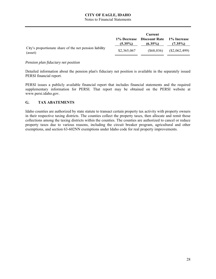#### Notes to Financial Statements

|                                                                    |                           | Current                            |                           |
|--------------------------------------------------------------------|---------------------------|------------------------------------|---------------------------|
|                                                                    | 1% Decrease<br>$(5.35\%)$ | <b>Discount Rate</b><br>$(6.35\%)$ | 1% Increase<br>$(7.35\%)$ |
| City's proportionate share of the net pension liability<br>(asset) | \$2,365,067               | $(\$68,036)$                       | $(\$2,062,499)$           |

#### *Pension plan fiduciary net position*

Detailed information about the pension plan's fiduciary net position is available in the separately issued PERSI financial report.

PERSI issues a publicly available financial report that includes financial statements and the required supplementary information for PERSI. That report may be obtained on the PERSI website at www.persi.idaho.gov.

#### **G. TAX ABATEMENTS**

Idaho counties are authorized by state statute to transact certain property tax activity with property owners in their respective taxing districts. The counties collect the property taxes, then allocate and remit those collections among the taxing districts within the counties. The counties are authorized to cancel or reduce property taxes due to various reasons, including the circuit breaker program, agricultural and other exemptions, and section 63-602NN exemptions under Idaho code for real property improvements.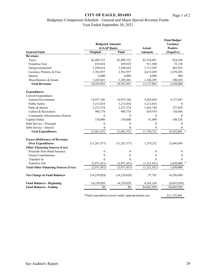## Budgetary Comparison Schedule - General and Major Special Revenue Funds Year Ended September 30, 2021

| (GAAP Basis)<br>Original<br>Final<br><b>General Fund</b><br><b>Amounts</b><br>(Negative)<br><b>Revenues</b><br>Taxes<br>\$2,489,723<br>\$2,489,723<br>\$2,524,091<br>\$34,368<br><b>Franchise Fees</b><br>839,810<br>839,810<br>911,940<br>72,130<br>Intergovernmental<br>3,249,624<br>3,249,624<br>3,715,207<br>465,583<br>Licenses, Permits, & Fees<br>2,762,957<br>2,762,957<br>4,633,450<br>1,870,493<br>Interest<br>6,000<br>6,000<br>6,980<br>980<br>Miscellaneous & Grants<br>1,245,841<br>1,245,841<br>1,346,295<br>100,454<br><b>Total Revenues</b><br>10,593,955<br>10,593,955<br>2,544,008<br>13,137,963<br><b>Expenditures</b><br><b>Current Expenditures</b><br><b>General Government</b><br>14,957,346<br>9,127,647<br>14,957,346<br>5,829,699<br>Public Safety<br>3,213,834<br>3,213,834<br>3,213,834<br>$\mathbf{0}$<br>Parks & Streets<br>2,571,574<br>2,571,574<br>1,843,744<br>727,830<br>Culture & Recreation<br>968,778<br>968,778<br>829,974<br>138,804<br>$\theta$<br>$\theta$<br>$\theta$<br>Community Infrastructure District<br>$\theta$<br>150,000<br>150,000<br>Capital Outlay<br>41,480<br>108,520<br>Debt Service - Principal<br>$\mathbf{0}$<br>$\theta$<br>$\Omega$<br>$\theta$<br>Debt Service - Interest<br>$\theta$<br>$\theta$<br>$\Omega$<br>$\Omega$<br>21,861,532<br>21,861,532<br>11,758,731<br>10,102,801<br><b>Total Expenditures</b><br><b>Excess (Deficiency) of Revenues</b><br><b>Over Expenditures</b><br>(11,267,577)<br>(11, 267, 577)<br>1,379,232<br>12,646,809<br><b>Other Financing Sources (Uses)</b><br>Proceeds from Bond Issuance<br>$\mathbf{0}$<br>$\mathbf{0}$<br>$\mathbf{0}$<br>$\mathbf{0}$<br><b>Owner Contributions</b><br>$\mathbf{0}$<br>$\mathbf{0}$<br>$\mathbf{0}$<br>$\mathbf{0}$<br>Transfers In<br>$\Omega$<br>$\Omega$<br>$\Omega$<br>$\theta$<br><b>Transfers Out</b><br>(1,321,451)<br>1,650,000<br>(2,971,451)<br>(2,971,451)<br><b>Total Other Financing Sources (Uses)</b><br>1,650,000<br>(2,971,451)<br>(2,971,451)<br>(1,321,451)<br><b>Net Change in Fund Balances</b><br>(14,239,028)<br>(14,239,028)<br>57,781<br>14,296,809<br><b>Fund Balances - Beginning</b><br>14,239,028<br>14,239,028<br>4,545,169<br>(9,693,859)<br>\$4,602,950<br><b>Fund Balances - Ending</b><br>\$0<br>\$4,602,950<br>\$0 | <b>Budgeted Amounts</b> |  |               | <b>Final Budget</b><br>Variance |  |
|--------------------------------------------------------------------------------------------------------------------------------------------------------------------------------------------------------------------------------------------------------------------------------------------------------------------------------------------------------------------------------------------------------------------------------------------------------------------------------------------------------------------------------------------------------------------------------------------------------------------------------------------------------------------------------------------------------------------------------------------------------------------------------------------------------------------------------------------------------------------------------------------------------------------------------------------------------------------------------------------------------------------------------------------------------------------------------------------------------------------------------------------------------------------------------------------------------------------------------------------------------------------------------------------------------------------------------------------------------------------------------------------------------------------------------------------------------------------------------------------------------------------------------------------------------------------------------------------------------------------------------------------------------------------------------------------------------------------------------------------------------------------------------------------------------------------------------------------------------------------------------------------------------------------------------------------------------------------------------------------------------------------------------------------------------------------------------------------------------------------------------------------------------------------------------------------------------------------------------------------------------------------------------------------|-------------------------|--|---------------|---------------------------------|--|
|                                                                                                                                                                                                                                                                                                                                                                                                                                                                                                                                                                                                                                                                                                                                                                                                                                                                                                                                                                                                                                                                                                                                                                                                                                                                                                                                                                                                                                                                                                                                                                                                                                                                                                                                                                                                                                                                                                                                                                                                                                                                                                                                                                                                                                                                                            |                         |  | <b>Actual</b> | <b>Positive</b>                 |  |
|                                                                                                                                                                                                                                                                                                                                                                                                                                                                                                                                                                                                                                                                                                                                                                                                                                                                                                                                                                                                                                                                                                                                                                                                                                                                                                                                                                                                                                                                                                                                                                                                                                                                                                                                                                                                                                                                                                                                                                                                                                                                                                                                                                                                                                                                                            |                         |  |               |                                 |  |
|                                                                                                                                                                                                                                                                                                                                                                                                                                                                                                                                                                                                                                                                                                                                                                                                                                                                                                                                                                                                                                                                                                                                                                                                                                                                                                                                                                                                                                                                                                                                                                                                                                                                                                                                                                                                                                                                                                                                                                                                                                                                                                                                                                                                                                                                                            |                         |  |               |                                 |  |
|                                                                                                                                                                                                                                                                                                                                                                                                                                                                                                                                                                                                                                                                                                                                                                                                                                                                                                                                                                                                                                                                                                                                                                                                                                                                                                                                                                                                                                                                                                                                                                                                                                                                                                                                                                                                                                                                                                                                                                                                                                                                                                                                                                                                                                                                                            |                         |  |               |                                 |  |
|                                                                                                                                                                                                                                                                                                                                                                                                                                                                                                                                                                                                                                                                                                                                                                                                                                                                                                                                                                                                                                                                                                                                                                                                                                                                                                                                                                                                                                                                                                                                                                                                                                                                                                                                                                                                                                                                                                                                                                                                                                                                                                                                                                                                                                                                                            |                         |  |               |                                 |  |
|                                                                                                                                                                                                                                                                                                                                                                                                                                                                                                                                                                                                                                                                                                                                                                                                                                                                                                                                                                                                                                                                                                                                                                                                                                                                                                                                                                                                                                                                                                                                                                                                                                                                                                                                                                                                                                                                                                                                                                                                                                                                                                                                                                                                                                                                                            |                         |  |               |                                 |  |
|                                                                                                                                                                                                                                                                                                                                                                                                                                                                                                                                                                                                                                                                                                                                                                                                                                                                                                                                                                                                                                                                                                                                                                                                                                                                                                                                                                                                                                                                                                                                                                                                                                                                                                                                                                                                                                                                                                                                                                                                                                                                                                                                                                                                                                                                                            |                         |  |               |                                 |  |
|                                                                                                                                                                                                                                                                                                                                                                                                                                                                                                                                                                                                                                                                                                                                                                                                                                                                                                                                                                                                                                                                                                                                                                                                                                                                                                                                                                                                                                                                                                                                                                                                                                                                                                                                                                                                                                                                                                                                                                                                                                                                                                                                                                                                                                                                                            |                         |  |               |                                 |  |
|                                                                                                                                                                                                                                                                                                                                                                                                                                                                                                                                                                                                                                                                                                                                                                                                                                                                                                                                                                                                                                                                                                                                                                                                                                                                                                                                                                                                                                                                                                                                                                                                                                                                                                                                                                                                                                                                                                                                                                                                                                                                                                                                                                                                                                                                                            |                         |  |               |                                 |  |
|                                                                                                                                                                                                                                                                                                                                                                                                                                                                                                                                                                                                                                                                                                                                                                                                                                                                                                                                                                                                                                                                                                                                                                                                                                                                                                                                                                                                                                                                                                                                                                                                                                                                                                                                                                                                                                                                                                                                                                                                                                                                                                                                                                                                                                                                                            |                         |  |               |                                 |  |
|                                                                                                                                                                                                                                                                                                                                                                                                                                                                                                                                                                                                                                                                                                                                                                                                                                                                                                                                                                                                                                                                                                                                                                                                                                                                                                                                                                                                                                                                                                                                                                                                                                                                                                                                                                                                                                                                                                                                                                                                                                                                                                                                                                                                                                                                                            |                         |  |               |                                 |  |
|                                                                                                                                                                                                                                                                                                                                                                                                                                                                                                                                                                                                                                                                                                                                                                                                                                                                                                                                                                                                                                                                                                                                                                                                                                                                                                                                                                                                                                                                                                                                                                                                                                                                                                                                                                                                                                                                                                                                                                                                                                                                                                                                                                                                                                                                                            |                         |  |               |                                 |  |
|                                                                                                                                                                                                                                                                                                                                                                                                                                                                                                                                                                                                                                                                                                                                                                                                                                                                                                                                                                                                                                                                                                                                                                                                                                                                                                                                                                                                                                                                                                                                                                                                                                                                                                                                                                                                                                                                                                                                                                                                                                                                                                                                                                                                                                                                                            |                         |  |               |                                 |  |
|                                                                                                                                                                                                                                                                                                                                                                                                                                                                                                                                                                                                                                                                                                                                                                                                                                                                                                                                                                                                                                                                                                                                                                                                                                                                                                                                                                                                                                                                                                                                                                                                                                                                                                                                                                                                                                                                                                                                                                                                                                                                                                                                                                                                                                                                                            |                         |  |               |                                 |  |
|                                                                                                                                                                                                                                                                                                                                                                                                                                                                                                                                                                                                                                                                                                                                                                                                                                                                                                                                                                                                                                                                                                                                                                                                                                                                                                                                                                                                                                                                                                                                                                                                                                                                                                                                                                                                                                                                                                                                                                                                                                                                                                                                                                                                                                                                                            |                         |  |               |                                 |  |
|                                                                                                                                                                                                                                                                                                                                                                                                                                                                                                                                                                                                                                                                                                                                                                                                                                                                                                                                                                                                                                                                                                                                                                                                                                                                                                                                                                                                                                                                                                                                                                                                                                                                                                                                                                                                                                                                                                                                                                                                                                                                                                                                                                                                                                                                                            |                         |  |               |                                 |  |
|                                                                                                                                                                                                                                                                                                                                                                                                                                                                                                                                                                                                                                                                                                                                                                                                                                                                                                                                                                                                                                                                                                                                                                                                                                                                                                                                                                                                                                                                                                                                                                                                                                                                                                                                                                                                                                                                                                                                                                                                                                                                                                                                                                                                                                                                                            |                         |  |               |                                 |  |
|                                                                                                                                                                                                                                                                                                                                                                                                                                                                                                                                                                                                                                                                                                                                                                                                                                                                                                                                                                                                                                                                                                                                                                                                                                                                                                                                                                                                                                                                                                                                                                                                                                                                                                                                                                                                                                                                                                                                                                                                                                                                                                                                                                                                                                                                                            |                         |  |               |                                 |  |
|                                                                                                                                                                                                                                                                                                                                                                                                                                                                                                                                                                                                                                                                                                                                                                                                                                                                                                                                                                                                                                                                                                                                                                                                                                                                                                                                                                                                                                                                                                                                                                                                                                                                                                                                                                                                                                                                                                                                                                                                                                                                                                                                                                                                                                                                                            |                         |  |               |                                 |  |
|                                                                                                                                                                                                                                                                                                                                                                                                                                                                                                                                                                                                                                                                                                                                                                                                                                                                                                                                                                                                                                                                                                                                                                                                                                                                                                                                                                                                                                                                                                                                                                                                                                                                                                                                                                                                                                                                                                                                                                                                                                                                                                                                                                                                                                                                                            |                         |  |               |                                 |  |
|                                                                                                                                                                                                                                                                                                                                                                                                                                                                                                                                                                                                                                                                                                                                                                                                                                                                                                                                                                                                                                                                                                                                                                                                                                                                                                                                                                                                                                                                                                                                                                                                                                                                                                                                                                                                                                                                                                                                                                                                                                                                                                                                                                                                                                                                                            |                         |  |               |                                 |  |
|                                                                                                                                                                                                                                                                                                                                                                                                                                                                                                                                                                                                                                                                                                                                                                                                                                                                                                                                                                                                                                                                                                                                                                                                                                                                                                                                                                                                                                                                                                                                                                                                                                                                                                                                                                                                                                                                                                                                                                                                                                                                                                                                                                                                                                                                                            |                         |  |               |                                 |  |
|                                                                                                                                                                                                                                                                                                                                                                                                                                                                                                                                                                                                                                                                                                                                                                                                                                                                                                                                                                                                                                                                                                                                                                                                                                                                                                                                                                                                                                                                                                                                                                                                                                                                                                                                                                                                                                                                                                                                                                                                                                                                                                                                                                                                                                                                                            |                         |  |               |                                 |  |
|                                                                                                                                                                                                                                                                                                                                                                                                                                                                                                                                                                                                                                                                                                                                                                                                                                                                                                                                                                                                                                                                                                                                                                                                                                                                                                                                                                                                                                                                                                                                                                                                                                                                                                                                                                                                                                                                                                                                                                                                                                                                                                                                                                                                                                                                                            |                         |  |               |                                 |  |
|                                                                                                                                                                                                                                                                                                                                                                                                                                                                                                                                                                                                                                                                                                                                                                                                                                                                                                                                                                                                                                                                                                                                                                                                                                                                                                                                                                                                                                                                                                                                                                                                                                                                                                                                                                                                                                                                                                                                                                                                                                                                                                                                                                                                                                                                                            |                         |  |               |                                 |  |
|                                                                                                                                                                                                                                                                                                                                                                                                                                                                                                                                                                                                                                                                                                                                                                                                                                                                                                                                                                                                                                                                                                                                                                                                                                                                                                                                                                                                                                                                                                                                                                                                                                                                                                                                                                                                                                                                                                                                                                                                                                                                                                                                                                                                                                                                                            |                         |  |               |                                 |  |
|                                                                                                                                                                                                                                                                                                                                                                                                                                                                                                                                                                                                                                                                                                                                                                                                                                                                                                                                                                                                                                                                                                                                                                                                                                                                                                                                                                                                                                                                                                                                                                                                                                                                                                                                                                                                                                                                                                                                                                                                                                                                                                                                                                                                                                                                                            |                         |  |               |                                 |  |
|                                                                                                                                                                                                                                                                                                                                                                                                                                                                                                                                                                                                                                                                                                                                                                                                                                                                                                                                                                                                                                                                                                                                                                                                                                                                                                                                                                                                                                                                                                                                                                                                                                                                                                                                                                                                                                                                                                                                                                                                                                                                                                                                                                                                                                                                                            |                         |  |               |                                 |  |
|                                                                                                                                                                                                                                                                                                                                                                                                                                                                                                                                                                                                                                                                                                                                                                                                                                                                                                                                                                                                                                                                                                                                                                                                                                                                                                                                                                                                                                                                                                                                                                                                                                                                                                                                                                                                                                                                                                                                                                                                                                                                                                                                                                                                                                                                                            |                         |  |               |                                 |  |
|                                                                                                                                                                                                                                                                                                                                                                                                                                                                                                                                                                                                                                                                                                                                                                                                                                                                                                                                                                                                                                                                                                                                                                                                                                                                                                                                                                                                                                                                                                                                                                                                                                                                                                                                                                                                                                                                                                                                                                                                                                                                                                                                                                                                                                                                                            |                         |  |               |                                 |  |
|                                                                                                                                                                                                                                                                                                                                                                                                                                                                                                                                                                                                                                                                                                                                                                                                                                                                                                                                                                                                                                                                                                                                                                                                                                                                                                                                                                                                                                                                                                                                                                                                                                                                                                                                                                                                                                                                                                                                                                                                                                                                                                                                                                                                                                                                                            |                         |  |               |                                 |  |
|                                                                                                                                                                                                                                                                                                                                                                                                                                                                                                                                                                                                                                                                                                                                                                                                                                                                                                                                                                                                                                                                                                                                                                                                                                                                                                                                                                                                                                                                                                                                                                                                                                                                                                                                                                                                                                                                                                                                                                                                                                                                                                                                                                                                                                                                                            |                         |  |               |                                 |  |

*\*Total expenditures (over) under appropriations are:* \$11,752,801

See Auditor's Report 29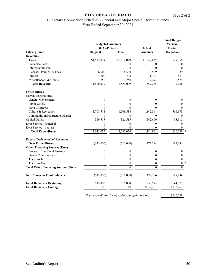## Budgetary Comparison Schedule - General and Major Special Revenue Funds Year Ended September 30, 2021

| (GAAP Basis)<br>Original<br>Final<br><b>Library Fund</b><br>(Negative)<br><b>Amounts</b><br><b>Revenues</b><br>\$1,512,079<br>\$1,512,079<br>\$1,542,035<br>\$29,956<br>Taxes<br><b>Franchise Fees</b><br>$\Omega$<br>$\theta$<br>$\theta$<br>0<br>Intergovernmental<br>$\Omega$<br>$\Omega$<br>$\Omega$<br>$\Omega$<br>Licenses, Permits, & Fees<br>6,500<br>6,500<br>6,539<br>39<br>Interest<br>700<br>700<br>1,387<br>687<br>Miscellaneous & Grants<br>750<br>750<br>7,274<br><b>Total Revenues</b><br>1,520,029<br>1,520,029<br>1,557,235<br><b>Expenditures</b><br><b>Current Expenditures</b><br>General Government<br>$\overline{0}$<br>$\mathbf{0}$<br>$\mathbf{0}$<br>Public Safety<br>$\theta$<br>$\theta$<br>$\Omega$<br>Parks & Streets<br>$\Omega$<br>$\Omega$<br>$\Omega$<br>Culture & Recreation<br>1,708,514<br>1,708,514<br>1,142,341<br>566,173<br>$\theta$<br>$\theta$<br>Community Infrastructure District<br>$\theta$<br>$\theta$<br>Capital Outlay<br>326,515<br>326,515<br>242,600<br>83,915<br>Debt Service - Principal<br>$\mathbf{0}$<br>$\mathbf{0}$<br>$\mathbf{0}$<br>Debt Service - Interest<br>$\mathbf{0}$<br>$\mathbf{0}$<br>$\mathbf{0}$<br>$\theta$<br>2,035,029<br>2,035,029<br>1,384,941<br>650,088<br><b>Total Expenditures</b><br><b>Excess (Deficiency) of Revenues</b><br><b>Over Expenditures</b><br>(515,000)<br>687,294<br>(515,000)<br>172,294<br><b>Other Financing Sources (Uses)</b><br>Proceeds from Bond Issuance<br>$\mathbf{0}$<br>$\mathbf{0}$<br>$\mathbf{0}$<br><b>Owner Contributions</b><br>$\mathbf{0}$<br>$\mathbf{0}$<br>$\mathbf{0}$<br>Transfers In<br>$\theta$<br>$\mathbf{0}$<br>$\mathbf{0}$<br><b>Transfers Out</b><br>$\boldsymbol{0}$<br>$\boldsymbol{0}$<br>$\boldsymbol{0}$<br>$\Omega$<br>$\theta$<br>$\Omega$<br><b>Total Other Financing Sources (Uses)</b><br><b>Net Change in Fund Balances</b><br>(515,000)<br>(515,000)<br>172,294<br>687,294 | <b>Budgeted Amounts</b> | Actual | <b>Final Budget</b><br>Variance<br><b>Positive</b> |
|----------------------------------------------------------------------------------------------------------------------------------------------------------------------------------------------------------------------------------------------------------------------------------------------------------------------------------------------------------------------------------------------------------------------------------------------------------------------------------------------------------------------------------------------------------------------------------------------------------------------------------------------------------------------------------------------------------------------------------------------------------------------------------------------------------------------------------------------------------------------------------------------------------------------------------------------------------------------------------------------------------------------------------------------------------------------------------------------------------------------------------------------------------------------------------------------------------------------------------------------------------------------------------------------------------------------------------------------------------------------------------------------------------------------------------------------------------------------------------------------------------------------------------------------------------------------------------------------------------------------------------------------------------------------------------------------------------------------------------------------------------------------------------------------------------------------------------------------------------------------------------------------------------------------------|-------------------------|--------|----------------------------------------------------|
|                                                                                                                                                                                                                                                                                                                                                                                                                                                                                                                                                                                                                                                                                                                                                                                                                                                                                                                                                                                                                                                                                                                                                                                                                                                                                                                                                                                                                                                                                                                                                                                                                                                                                                                                                                                                                                                                                                                            |                         |        |                                                    |
|                                                                                                                                                                                                                                                                                                                                                                                                                                                                                                                                                                                                                                                                                                                                                                                                                                                                                                                                                                                                                                                                                                                                                                                                                                                                                                                                                                                                                                                                                                                                                                                                                                                                                                                                                                                                                                                                                                                            |                         |        |                                                    |
|                                                                                                                                                                                                                                                                                                                                                                                                                                                                                                                                                                                                                                                                                                                                                                                                                                                                                                                                                                                                                                                                                                                                                                                                                                                                                                                                                                                                                                                                                                                                                                                                                                                                                                                                                                                                                                                                                                                            |                         |        |                                                    |
|                                                                                                                                                                                                                                                                                                                                                                                                                                                                                                                                                                                                                                                                                                                                                                                                                                                                                                                                                                                                                                                                                                                                                                                                                                                                                                                                                                                                                                                                                                                                                                                                                                                                                                                                                                                                                                                                                                                            |                         |        |                                                    |
|                                                                                                                                                                                                                                                                                                                                                                                                                                                                                                                                                                                                                                                                                                                                                                                                                                                                                                                                                                                                                                                                                                                                                                                                                                                                                                                                                                                                                                                                                                                                                                                                                                                                                                                                                                                                                                                                                                                            |                         |        |                                                    |
|                                                                                                                                                                                                                                                                                                                                                                                                                                                                                                                                                                                                                                                                                                                                                                                                                                                                                                                                                                                                                                                                                                                                                                                                                                                                                                                                                                                                                                                                                                                                                                                                                                                                                                                                                                                                                                                                                                                            |                         |        |                                                    |
|                                                                                                                                                                                                                                                                                                                                                                                                                                                                                                                                                                                                                                                                                                                                                                                                                                                                                                                                                                                                                                                                                                                                                                                                                                                                                                                                                                                                                                                                                                                                                                                                                                                                                                                                                                                                                                                                                                                            |                         |        |                                                    |
|                                                                                                                                                                                                                                                                                                                                                                                                                                                                                                                                                                                                                                                                                                                                                                                                                                                                                                                                                                                                                                                                                                                                                                                                                                                                                                                                                                                                                                                                                                                                                                                                                                                                                                                                                                                                                                                                                                                            |                         |        | 6,524                                              |
|                                                                                                                                                                                                                                                                                                                                                                                                                                                                                                                                                                                                                                                                                                                                                                                                                                                                                                                                                                                                                                                                                                                                                                                                                                                                                                                                                                                                                                                                                                                                                                                                                                                                                                                                                                                                                                                                                                                            |                         |        | 37,206                                             |
|                                                                                                                                                                                                                                                                                                                                                                                                                                                                                                                                                                                                                                                                                                                                                                                                                                                                                                                                                                                                                                                                                                                                                                                                                                                                                                                                                                                                                                                                                                                                                                                                                                                                                                                                                                                                                                                                                                                            |                         |        |                                                    |
|                                                                                                                                                                                                                                                                                                                                                                                                                                                                                                                                                                                                                                                                                                                                                                                                                                                                                                                                                                                                                                                                                                                                                                                                                                                                                                                                                                                                                                                                                                                                                                                                                                                                                                                                                                                                                                                                                                                            |                         |        |                                                    |
|                                                                                                                                                                                                                                                                                                                                                                                                                                                                                                                                                                                                                                                                                                                                                                                                                                                                                                                                                                                                                                                                                                                                                                                                                                                                                                                                                                                                                                                                                                                                                                                                                                                                                                                                                                                                                                                                                                                            |                         |        | $\boldsymbol{0}$                                   |
|                                                                                                                                                                                                                                                                                                                                                                                                                                                                                                                                                                                                                                                                                                                                                                                                                                                                                                                                                                                                                                                                                                                                                                                                                                                                                                                                                                                                                                                                                                                                                                                                                                                                                                                                                                                                                                                                                                                            |                         |        | $\theta$                                           |
|                                                                                                                                                                                                                                                                                                                                                                                                                                                                                                                                                                                                                                                                                                                                                                                                                                                                                                                                                                                                                                                                                                                                                                                                                                                                                                                                                                                                                                                                                                                                                                                                                                                                                                                                                                                                                                                                                                                            |                         |        | $\theta$                                           |
|                                                                                                                                                                                                                                                                                                                                                                                                                                                                                                                                                                                                                                                                                                                                                                                                                                                                                                                                                                                                                                                                                                                                                                                                                                                                                                                                                                                                                                                                                                                                                                                                                                                                                                                                                                                                                                                                                                                            |                         |        |                                                    |
|                                                                                                                                                                                                                                                                                                                                                                                                                                                                                                                                                                                                                                                                                                                                                                                                                                                                                                                                                                                                                                                                                                                                                                                                                                                                                                                                                                                                                                                                                                                                                                                                                                                                                                                                                                                                                                                                                                                            |                         |        |                                                    |
|                                                                                                                                                                                                                                                                                                                                                                                                                                                                                                                                                                                                                                                                                                                                                                                                                                                                                                                                                                                                                                                                                                                                                                                                                                                                                                                                                                                                                                                                                                                                                                                                                                                                                                                                                                                                                                                                                                                            |                         |        |                                                    |
|                                                                                                                                                                                                                                                                                                                                                                                                                                                                                                                                                                                                                                                                                                                                                                                                                                                                                                                                                                                                                                                                                                                                                                                                                                                                                                                                                                                                                                                                                                                                                                                                                                                                                                                                                                                                                                                                                                                            |                         |        | $\theta$                                           |
|                                                                                                                                                                                                                                                                                                                                                                                                                                                                                                                                                                                                                                                                                                                                                                                                                                                                                                                                                                                                                                                                                                                                                                                                                                                                                                                                                                                                                                                                                                                                                                                                                                                                                                                                                                                                                                                                                                                            |                         |        |                                                    |
|                                                                                                                                                                                                                                                                                                                                                                                                                                                                                                                                                                                                                                                                                                                                                                                                                                                                                                                                                                                                                                                                                                                                                                                                                                                                                                                                                                                                                                                                                                                                                                                                                                                                                                                                                                                                                                                                                                                            |                         |        |                                                    |
|                                                                                                                                                                                                                                                                                                                                                                                                                                                                                                                                                                                                                                                                                                                                                                                                                                                                                                                                                                                                                                                                                                                                                                                                                                                                                                                                                                                                                                                                                                                                                                                                                                                                                                                                                                                                                                                                                                                            |                         |        |                                                    |
|                                                                                                                                                                                                                                                                                                                                                                                                                                                                                                                                                                                                                                                                                                                                                                                                                                                                                                                                                                                                                                                                                                                                                                                                                                                                                                                                                                                                                                                                                                                                                                                                                                                                                                                                                                                                                                                                                                                            |                         |        |                                                    |
|                                                                                                                                                                                                                                                                                                                                                                                                                                                                                                                                                                                                                                                                                                                                                                                                                                                                                                                                                                                                                                                                                                                                                                                                                                                                                                                                                                                                                                                                                                                                                                                                                                                                                                                                                                                                                                                                                                                            |                         |        |                                                    |
|                                                                                                                                                                                                                                                                                                                                                                                                                                                                                                                                                                                                                                                                                                                                                                                                                                                                                                                                                                                                                                                                                                                                                                                                                                                                                                                                                                                                                                                                                                                                                                                                                                                                                                                                                                                                                                                                                                                            |                         |        | $\boldsymbol{0}$                                   |
|                                                                                                                                                                                                                                                                                                                                                                                                                                                                                                                                                                                                                                                                                                                                                                                                                                                                                                                                                                                                                                                                                                                                                                                                                                                                                                                                                                                                                                                                                                                                                                                                                                                                                                                                                                                                                                                                                                                            |                         |        | $\overline{0}$                                     |
|                                                                                                                                                                                                                                                                                                                                                                                                                                                                                                                                                                                                                                                                                                                                                                                                                                                                                                                                                                                                                                                                                                                                                                                                                                                                                                                                                                                                                                                                                                                                                                                                                                                                                                                                                                                                                                                                                                                            |                         |        | $\mathbf{0}$                                       |
|                                                                                                                                                                                                                                                                                                                                                                                                                                                                                                                                                                                                                                                                                                                                                                                                                                                                                                                                                                                                                                                                                                                                                                                                                                                                                                                                                                                                                                                                                                                                                                                                                                                                                                                                                                                                                                                                                                                            |                         |        | $\ast$<br>$\mathbf{0}$                             |
|                                                                                                                                                                                                                                                                                                                                                                                                                                                                                                                                                                                                                                                                                                                                                                                                                                                                                                                                                                                                                                                                                                                                                                                                                                                                                                                                                                                                                                                                                                                                                                                                                                                                                                                                                                                                                                                                                                                            |                         |        | $\Omega$                                           |
|                                                                                                                                                                                                                                                                                                                                                                                                                                                                                                                                                                                                                                                                                                                                                                                                                                                                                                                                                                                                                                                                                                                                                                                                                                                                                                                                                                                                                                                                                                                                                                                                                                                                                                                                                                                                                                                                                                                            |                         |        |                                                    |
| <b>Fund Balances - Beginning</b><br>515,000<br>515,000<br>659,973<br>144,973                                                                                                                                                                                                                                                                                                                                                                                                                                                                                                                                                                                                                                                                                                                                                                                                                                                                                                                                                                                                                                                                                                                                                                                                                                                                                                                                                                                                                                                                                                                                                                                                                                                                                                                                                                                                                                               |                         |        |                                                    |
| \$832,267<br><b>Fund Balances - Ending</b><br>\$0<br>\$0<br>\$832,267                                                                                                                                                                                                                                                                                                                                                                                                                                                                                                                                                                                                                                                                                                                                                                                                                                                                                                                                                                                                                                                                                                                                                                                                                                                                                                                                                                                                                                                                                                                                                                                                                                                                                                                                                                                                                                                      |                         |        |                                                    |

*\*Total expenditures (over) under appropriations are:* \$650,088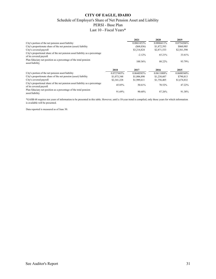## **CITY OF EAGLE, IDAHO** Schedule of Employer's Share of Net Pension Asset and Liability PERSI - Base Plan Last 10 - Fiscal Years\*

|                                                                                                        |             | 2021        | 2020        | 2019        |
|--------------------------------------------------------------------------------------------------------|-------------|-------------|-------------|-------------|
| City's portion of the net pension asset/liability                                                      |             | 0.0861453%  | 0.0806411%  | 0.0754206%  |
| City's proportionate share of the net pension (asset) liability                                        |             | (S68,036)   | \$1,872,593 | \$860,905   |
| City's covered payroll                                                                                 |             | \$3,214,824 | \$2,871,533 | \$2,561,590 |
| City's proportional share of the net pension asset/liability as a percentage<br>of its covered payroll |             | $-2.12%$    | 65.21%      | 33.61%      |
| Plan fiduciary net position as a percentage of the total pension<br>asset/liability                    |             | 100.36%     | 88.22%      | 93.79%      |
|                                                                                                        | 2018        | 2017        | 2016        | 2015        |
| City's portion of the net pension asset/liability                                                      | 0.0727685%  | 0.0640585%  | 0.0611008%  | 0.0600540%  |
| City's proportionate share of the net pension (asset) liability                                        | \$1,073,348 | \$1,006,890 | \$1,238,607 | \$790,813   |
| City's covered payroll                                                                                 | \$2,341,228 | \$1,989,611 | \$1,756,405 | \$1,674,832 |
| City's proportional share of the net pension asset/liability as a percentage<br>of its covered payroll | 45.85%      | 50.61%      | 70.52%      | 47.22%      |
| Plan fiduciary net position as a percentage of the total pension<br>asset/liability                    | 91.69%      | 90.68%      | 87.26%      | 91.38%      |

\*GASB 68 requires ten years of information to be presented in this table. However, until a 10-year trend is compiled, only those years for which information is available will be presented.

Data reported is measured as of June 30.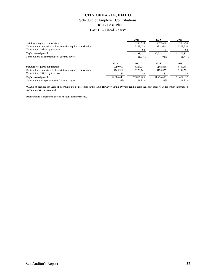## **CITY OF EAGLE, IDAHO** Schedule of Employer Contributions PERSI - Base Plan Last 10 - Fiscal Years\*

|                                                                    |             | 2021        | 2020        | 2019        |
|--------------------------------------------------------------------|-------------|-------------|-------------|-------------|
| Statutorily required contribution                                  |             | \$398,638   | \$352,614   | \$309,754   |
| Contributions in relation to the statutorily required contribution |             | \$398,638   | \$352,614   | \$309,754   |
| Contribution deficiency (excess)                                   |             | \$0         | \$0         | \$0         |
| City's covered payroll                                             |             | \$3,338,677 | \$2,953,216 | \$2,700,821 |
| Contributions as a percentage of covered payroll                   |             | 11.94%      | 11.94%      | 11.47%      |
|                                                                    | 2018        | 2017        | 2016        | 2015        |
| Statutorily required contribution                                  | \$269,919   | \$228,241   | \$198,825   | \$189,591   |
| Contributions in relation to the statutorily required contribution | \$269,919   | \$228.241   | \$198,825   | \$189,591   |
| Contribution deficiency (excess)                                   | \$0         | \$0         | \$0         | -80         |
| City's covered payroll                                             | \$2,384,443 | \$2,016,263 | \$1,756,405 | \$1,674,832 |
| Contributions as a percentage of covered payroll                   | 11.32%      | 11.32%      | 11.32%      | 11.32%      |

\*GASB 68 requires ten years of information to be presented in this table. However, until a 10-year trend is compiled, only those years for which information is available will be presented.

Data reported is measured as of each year's fiscal year end.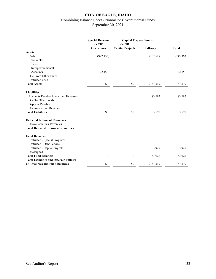## Combining Balance Sheet - Nonmajor Governmental Funds

September 30, 2021

|                                               | <b>Special Revenue</b> | <b>Capital Projects Funds</b> |              |                  |
|-----------------------------------------------|------------------------|-------------------------------|--------------|------------------|
|                                               | <b>SVCID</b>           | <b>SVCID</b>                  |              |                  |
|                                               | <b>Operations</b>      | <b>Capital Projects</b>       | Pathway      | <b>Total</b>     |
| <b>Assets</b>                                 |                        |                               |              |                  |
| Cash                                          | $(\$22,156)$           |                               | \$767,519    | \$745,363        |
| Receivables:                                  |                        |                               |              |                  |
| Taxes                                         |                        |                               |              | $\mathbf{0}$     |
| Intergovernmental                             |                        |                               |              | $\theta$         |
| Accounts                                      | 22,156                 |                               |              | 22,156           |
| Due From Other Funds                          |                        |                               |              | $\boldsymbol{0}$ |
| <b>Restricted Cash</b>                        |                        |                               |              | $\mathbf{0}$     |
| <b>Total Assets</b>                           | \$0                    | \$0                           | \$767,519    | \$767,519        |
| <b>Liabilities</b>                            |                        |                               |              |                  |
| Accounts Payable & Accrued Expenses           |                        |                               | \$3,592      | \$3,592          |
| Due To Other Funds                            |                        |                               |              | $\bf{0}$         |
| Deposits Payable                              |                        |                               |              | $\theta$         |
| <b>Unearned Grant Revenue</b>                 |                        |                               |              | $\mathbf{0}$     |
| <b>Total Liabilities</b>                      | \$0                    | \$0                           | 3,592        | 3,592            |
| <b>Deferred Inflows of Resources</b>          |                        |                               |              |                  |
| Unavailable Tax Revenues                      |                        |                               |              | $\boldsymbol{0}$ |
| <b>Total Deferred Inflows of Resources</b>    | $\mathbf{0}$           | $\mathbf{0}$                  | $\mathbf{0}$ | $\theta$         |
| <b>Fund Balances</b>                          |                        |                               |              |                  |
| Restricted - Special Programs                 |                        |                               |              | $\mathbf{0}$     |
| Restricted - Debt Service                     |                        |                               |              | $\theta$         |
| Restricted - Capital Projects                 |                        |                               | 763,927      | 763,927          |
| Unassigned                                    |                        |                               |              | $\boldsymbol{0}$ |
| <b>Total Fund Balances</b>                    | $\mathbf{0}$           | $\theta$                      | 763,927      | 763,927          |
| <b>Total Liabilities and Deferred Inflows</b> |                        |                               |              |                  |
| of Resources and Fund Balances                | \$0                    | \$0                           | \$767,519    | \$767,519        |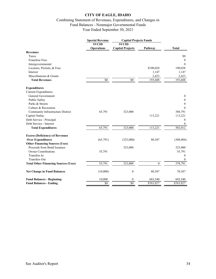## Combining Statement of Revenues, Expenditures, and Changes in Fund Balances - Nonmajor Governmental Funds Year Ended September 30, 2021

|                                             | <b>Special Revenue</b> | <b>Capital Projects Funds</b> |              |                  |
|---------------------------------------------|------------------------|-------------------------------|--------------|------------------|
|                                             | <b>SVCID</b>           | <b>SVCID</b>                  |              |                  |
|                                             | <b>Operations</b>      | <b>Capital Projects</b>       | Pathway      | <b>Total</b>     |
| <b>Revenues</b>                             |                        |                               |              |                  |
| Taxes                                       |                        |                               |              | \$0              |
| <b>Franchise Fees</b>                       |                        |                               |              | 0                |
| Intergovernmental                           |                        |                               |              | $\theta$         |
| Licenses, Permits, & Fees                   |                        |                               | \$190,038    | 190,038          |
| Interest                                    |                        |                               | 1,147        | 1,147            |
| Miscellaneous & Grants                      |                        |                               | 2,423        | 2,423            |
| <b>Total Revenues</b>                       | \$0                    | \$0                           | 193,608      | 193,608          |
| <b>Expenditures</b>                         |                        |                               |              |                  |
| <b>Current Expenditures</b>                 |                        |                               |              |                  |
| General Government                          |                        |                               |              | $\mathbf{0}$     |
| Public Safety                               |                        |                               |              | $\mathbf{0}$     |
| Parks & Streets                             |                        |                               |              | $\boldsymbol{0}$ |
| Culture & Recreation                        |                        |                               |              | $\theta$         |
| Community Infrastructure District           | 65,791                 | 323,000                       |              | 388,791          |
| Capital Outlay                              |                        |                               | 113,221      | 113,221          |
| Debt Service - Principal                    |                        |                               |              | 0                |
| Debt Service - Interest                     |                        |                               |              | 0                |
| <b>Total Expenditures</b>                   | 65,791                 | 323,000                       | 113,221      | 502,012          |
| <b>Excess (Deficiency) of Revenues</b>      |                        |                               |              |                  |
| <b>Over Expenditures</b>                    | (65,791)               | (323,000)                     | 80,387       | (308, 404)       |
| <b>Other Financing Sources (Uses)</b>       |                        |                               |              |                  |
| Proceeds from Bond Issuance                 |                        | 323,000                       |              | 323,000          |
| <b>Owner Contributions</b>                  | 55,791                 |                               |              | 55,791           |
| Transfers In                                |                        |                               |              | 0                |
| <b>Transfers Out</b>                        |                        |                               |              | $\overline{0}$   |
| <b>Total Other Financing Sources (Uses)</b> | 55,791                 | 323,000                       | $\mathbf{0}$ | 378,791          |
| <b>Net Change in Fund Balances</b>          | (10,000)               | $\boldsymbol{0}$              | 80,387       | 70,387           |
| <b>Fund Balances - Beginning</b>            | 10,000                 | $\bf{0}$                      | 683,540      | 693,540          |
| <b>Fund Balances - Ending</b>               | \$0                    | \$0                           | \$763,927    | \$763,927        |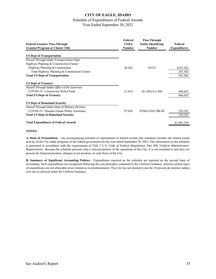## Schedule of Expenditures of Federal Awards

Year Ended September 30, 2021

| <b>Federal Grantor/ Pass-Through</b>           | Federal<br><b>CFDA</b> | Pass-Through<br><b>Entity Identifying</b> | Federal             |
|------------------------------------------------|------------------------|-------------------------------------------|---------------------|
| <b>Grantor/Program or Cluster Title</b>        | <b>Number</b>          | <b>Number</b>                             | <b>Expenditures</b> |
| <b>US Dept of Transportation</b>               |                        |                                           |                     |
| Passed Through Idaho Transportation Dept:      |                        |                                           |                     |
| Highway Planning & Construction Cluster:       |                        |                                           |                     |
| Highway Planning & Construction                | 20.205                 | 95537                                     | \$247,302           |
| Total Highway Planning & Construction Cluster  |                        |                                           | 247,302             |
| <b>Total US Dept of Transportation</b>         |                        |                                           | 247,302             |
| <b>US Dept of Treasury</b>                     |                        |                                           |                     |
| Passed Through Idaho Office of the Governor    |                        |                                           |                     |
| COVID-19 - Coronavirus Relief Fund             | 21.019                 | 20-1892-0-1-806                           | 894,655             |
| <b>Total US Dept of Treasury</b>               |                        |                                           | 894,655             |
| <b>US Dept of Homeland Security</b>            |                        |                                           |                     |
| Passed Through Idaho Dept of Military Division |                        |                                           |                     |
| COVID-19 - Disaster Grants Public Assistance   | 97.036                 | FEMA-4342 DR-ID                           | 320,382             |
| <b>Total US Dept of Homeland Security</b>      |                        |                                           | 320,382             |
| <b>Total Expenditures of Federal Awards</b>    |                        |                                           | \$1,462,339         |

#### **NOTES:**

**A. Basis of Presentation** - The accompanying schedule of expenditures of federal awards (the schedule) includes the federal award activity of the City under programs of the federal government for the year ended September 30, 2021. The information in this schedule is presented in accordance with the requirements of Title 2 U.S. *Code of Federal Regulations* Part 200, *Uniform Administrative Requirements.* Because the schedule presents only a selected portion of the operations of the City, it is not intended to and does not present the financial position, changes in net position, or cash flows of the City.

**B. Summary of Significant Accounting Policies** - Expenditures reported on the schedule are reported on the accrual basis of accounting. Such expenditures are recognized following the cost principles contained in the Uniform Guidance, wherein certain types of expenditures are not allowable or are limited as to reimbursement. The City has not elected to use the 10 percent de minimis indirec cost rate as allowed under the Uniform Guidance.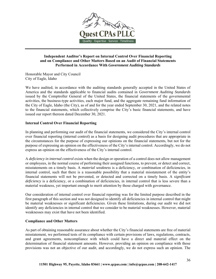

#### **Independent Auditor's Report on Internal Control Over Financial Reporting and on Compliance and Other Matters Based on an Audit of Financial Statements Performed in Accordance With** *Government Auditing Standards*

Honorable Mayor and City Council City of Eagle, Idaho

We have audited, in accordance with the auditing standards generally accepted in the United States of America and the standards applicable to financial audits contained in *Government Auditing Standards* issued by the Comptroller General of the United States, the financial statements of the governmental activities, the business-type activities, each major fund, and the aggregate remaining fund information of the City of Eagle, Idaho (the City), as of and for the year ended September 30, 2021, and the related notes to the financial statements, which collectively comprise the City's basic financial statements, and have issued our report thereon dated December 30, 2021.

#### **Internal Control Over Financial Reporting**

In planning and performing our audit of the financial statements, we considered the City's internal control over financial reporting (internal control) as a basis for designing audit procedures that are appropriate in the circumstances for the purpose of expressing our opinions on the financial statements, but not for the purpose of expressing an opinion on the effectiveness of the City's internal control. Accordingly, we do not express an opinion on the effectiveness of the City's internal control.

A *deficiency in internal control* exists when the design or operation of a control does not allow management or employees, in the normal course of performing their assigned functions, to prevent, or detect and correct, misstatements on a timely basis. A *material weakness* is a deficiency, or combination of deficiencies, in internal control, such that there is a reasonable possibility that a material misstatement of the entity's financial statements will not be prevented, or detected and corrected on a timely basis. A *significant deficiency* is a deficiency, or a combination of deficiencies, in internal control that is less severe than a material weakness, yet important enough to merit attention by those charged with governance.

Our consideration of internal control over financial reporting was for the limited purpose described in the first paragraph of this section and was not designed to identify all deficiencies in internal control that might be material weaknesses or significant deficiencies. Given these limitations, during our audit we did not identify any deficiencies in internal control that we consider to be material weaknesses. However, material weaknesses may exist that have not been identified.

#### **Compliance and Other Matters**

As part of obtaining reasonable assurance about whether the City's financial statements are free of material misstatement, we performed tests of its compliance with certain provisions of laws, regulations, contracts, and grant agreements, noncompliance with which could have a direct and material effect on the determination of financial statement amounts. However, providing an opinion on compliance with those provisions was not an objective of our audit, and accordingly, we do not express such an opinion. The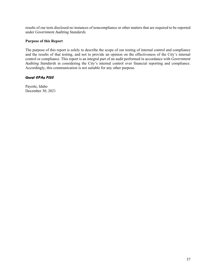results of our tests disclosed no instances of noncompliance or other matters that are required to be reported under *Government Auditing Standards*.

#### **Purpose of this Report**

The purpose of this report is solely to describe the scope of our testing of internal control and compliance and the results of that testing, and not to provide an opinion on the effectiveness of the City's internal control or compliance. This report is an integral part of an audit performed in accordance with *Government Auditing Standards* in considering the City's internal control over financial reporting and compliance. Accordingly, this communication is not suitable for any other purpose.

#### *Quest CPAs PLLC*

Payette, Idaho December 30, 2021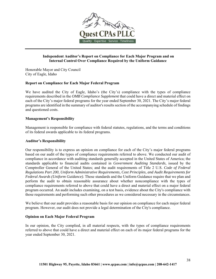

#### **Independent Auditor's Report on Compliance for Each Major Program and on Internal Control Over Compliance Required by the Uniform Guidance**

Honorable Mayor and City Council City of Eagle, Idaho

#### **Report on Compliance for Each Major Federal Program**

We have audited the City of Eagle, Idaho's (the City's) compliance with the types of compliance requirements described in the *OMB Compliance Supplement* that could have a direct and material effect on each of the City's major federal programs for the year ended September 30, 2021. The City's major federal programs are identified in the summary of auditor's results section of the accompanying schedule of findings and questioned costs.

#### **Management's Responsibility**

Management is responsible for compliance with federal statutes, regulations, and the terms and conditions of its federal awards applicable to its federal programs.

#### **Auditor's Responsibility**

Our responsibility is to express an opinion on compliance for each of the City's major federal programs based on our audit of the types of compliance requirements referred to above. We conducted our audit of compliance in accordance with auditing standards generally accepted in the United States of America; the standards applicable to financial audits contained in *Government Auditing Standards*, issued by the Comptroller General of the United States; and the audit requirements of Title 2 U.S. *Code of Federal Regulations Part 200, Uniform Administrative Requirements, Cost Principles, and Audit Requirements for Federal Awards (Uniform Guidance)*. Those standards and the Uniform Guidance require that we plan and perform the audit to obtain reasonable assurance about whether noncompliance with the types of compliance requirements referred to above that could have a direct and material effect on a major federal program occurred. An audit includes examining, on a test basis, evidence about the City's compliance with those requirements and performing such other procedures as we considered necessary in the circumstances.

We believe that our audit provides a reasonable basis for our opinion on compliance for each major federal program. However, our audit does not provide a legal determination of the City's compliance.

#### **Opinion on Each Major Federal Program**

In our opinion, the City complied, in all material respects, with the types of compliance requirements referred to above that could have a direct and material effect on each of its major federal programs for the year ended September 30, 2021.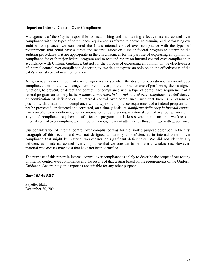#### **Report on Internal Control Over Compliance**

Management of the City is responsible for establishing and maintaining effective internal control over compliance with the types of compliance requirements referred to above. In planning and performing our audit of compliance, we considered the City's internal control over compliance with the types of requirements that could have a direct and material effect on a major federal program to determine the auditing procedures that are appropriate in the circumstances for the purpose of expressing an opinion on compliance for each major federal program and to test and report on internal control over compliance in accordance with Uniform Guidance, but not for the purpose of expressing an opinion on the effectiveness of internal control over compliance. Accordingly, we do not express an opinion on the effectiveness of the City's internal control over compliance.

A *deficiency in internal control over compliance* exists when the design or operation of a control over compliance does not allow management or employees, in the normal course of performing their assigned functions, to prevent, or detect and correct, noncompliance with a type of compliance requirement of a federal program on a timely basis. A *material weakness in internal control over compliance* is a deficiency, or combination of deficiencies, in internal control over compliance, such that there is a reasonable possibility that material noncompliance with a type of compliance requirement of a federal program will not be prevented, or detected and corrected, on a timely basis. A *significant deficiency in internal control over compliance* is a deficiency, or a combination of deficiencies, in internal control over compliance with a type of compliance requirement of a federal program that is less severe than a material weakness in internal control over compliance, yet important enough to merit attention by those charged with governance.

Our consideration of internal control over compliance was for the limited purpose described in the first paragraph of this section and was not designed to identify all deficiencies in internal control over compliance that might be material weaknesses or significant deficiencies. We did not identify any deficiencies in internal control over compliance that we consider to be material weaknesses. However, material weaknesses may exist that have not been identified.

The purpose of this report in internal control over compliance is solely to describe the scope of our testing of internal control over compliance and the results of that testing based on the requirements of the Uniform Guidance. Accordingly, this report is not suitable for any other purpose.

#### *Quest CPAs PLLC*

Payette, Idaho December 30, 2021